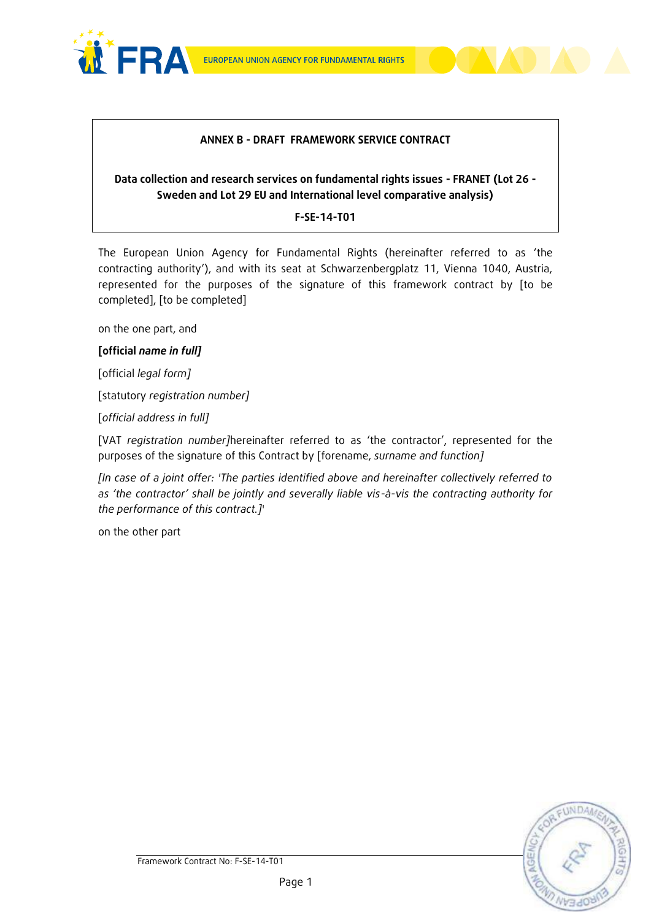

#### **ANNEX B - DRAFT FRAMEWORK SERVICE CONTRACT**

# **Data collection and research services on fundamental rights issues - FRANET (Lot 26 - Sweden and Lot 29 EU and International level comparative analysis)**

#### **F-SE-14-T01**

The European Union Agency for Fundamental Rights (hereinafter referred to as 'the contracting authority'), and with its seat at Schwarzenbergplatz 11, Vienna 1040, Austria, represented for the purposes of the signature of this framework contract by [to be completed], [to be completed]

on the one part, and

### **[official** *name in full]*

[official *legal form]*

[statutory *registration number]*

[*official address in full]* 

[VAT *registration number]*hereinafter referred to as 'the contractor', represented for the purposes of the signature of this Contract by [forename, *surname and function]*

*[In case of a joint offer: 'The parties identified above and hereinafter collectively referred to as 'the contractor' shall be jointly and severally liable vis-à-vis the contracting authority for the performance of this contract.]*'

on the other part

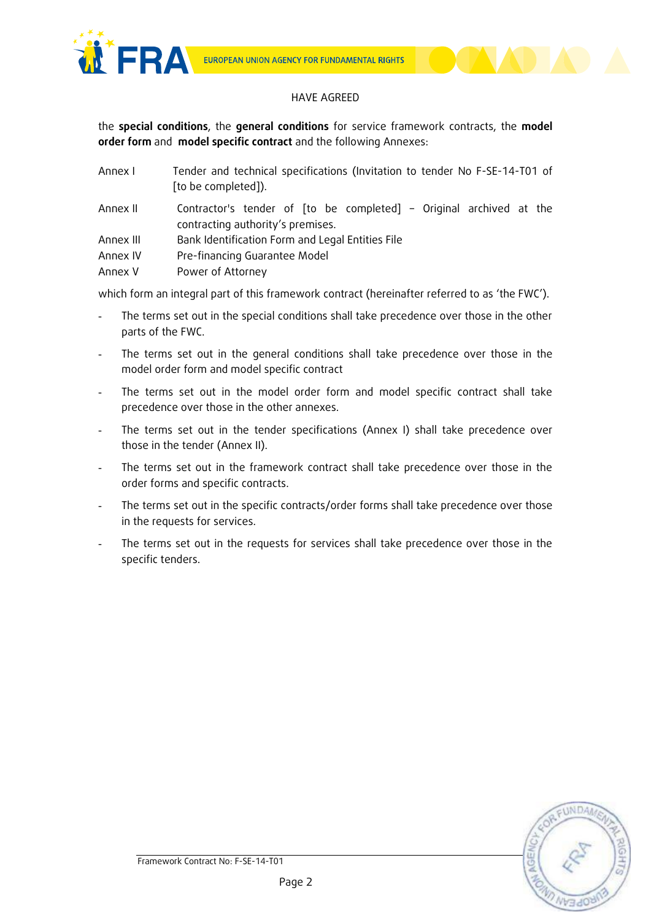

#### HAVE AGREED

the **special conditions**, the **general conditions** for service framework contracts, the **model order form** and **model specific contract** and the following Annexes:

| Annex I   | Tender and technical specifications (Invitation to tender No F-SE-14-T01 of<br>[to be completed]).       |  |
|-----------|----------------------------------------------------------------------------------------------------------|--|
| Annex II  | Contractor's tender of [to be completed] - Original archived at the<br>contracting authority's premises. |  |
| Annex III | Bank Identification Form and Legal Entities File                                                         |  |
| Annex IV  | Pre-financing Guarantee Model                                                                            |  |
| Annex V   | Power of Attorney                                                                                        |  |

which form an integral part of this framework contract (hereinafter referred to as 'the FWC').

- The terms set out in the special conditions shall take precedence over those in the other parts of the FWC.
- The terms set out in the general conditions shall take precedence over those in the model order form and model specific contract
- The terms set out in the model order form and model specific contract shall take precedence over those in the other annexes.
- The terms set out in the tender specifications (Annex I) shall take precedence over those in the tender (Annex II).
- The terms set out in the framework contract shall take precedence over those in the order forms and specific contracts.
- The terms set out in the specific contracts/order forms shall take precedence over those in the requests for services.
- The terms set out in the requests for services shall take precedence over those in the specific tenders.

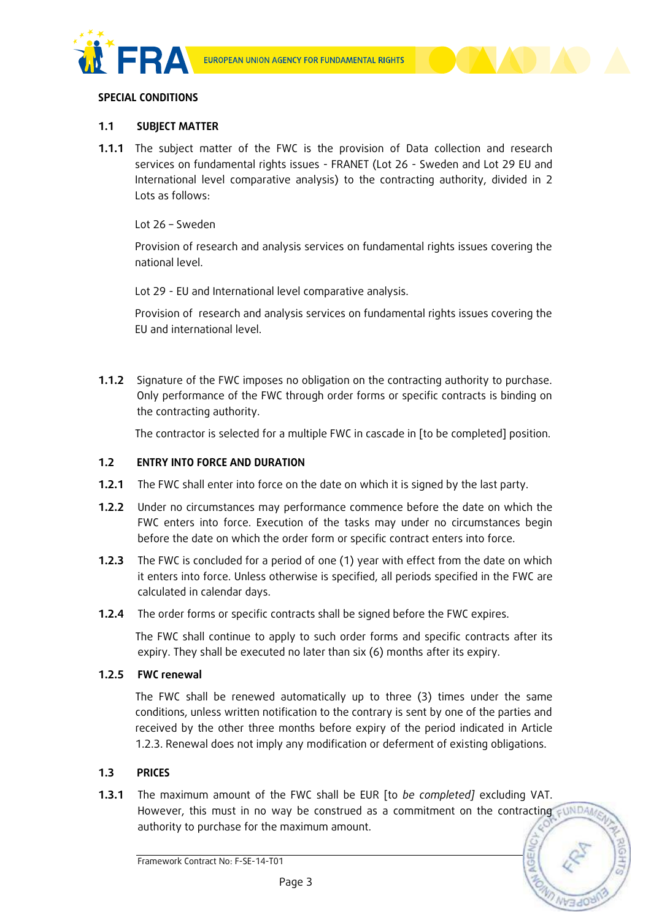



#### **SPECIAL CONDITIONS**

### **1.1 SUBJECT MATTER**

**1.1.1** The subject matter of the FWC is the provision of Data collection and research services on fundamental rights issues - FRANET (Lot 26 - Sweden and Lot 29 EU and International level comparative analysis) to the contracting authority, divided in 2 Lots as follows:

Lot 26 – Sweden

Provision of research and analysis services on fundamental rights issues covering the national level.

Lot 29 - EU and International level comparative analysis.

Provision of research and analysis services on fundamental rights issues covering the EU and international level.

**1.1.2** Signature of the FWC imposes no obligation on the contracting authority to purchase. Only performance of the FWC through order forms or specific contracts is binding on the contracting authority.

The contractor is selected for a multiple FWC in cascade in [to be completed] position.

#### **1.2 ENTRY INTO FORCE AND DURATION**

- **1.2.1** The FWC shall enter into force on the date on which it is signed by the last party.
- **1.2.2** Under no circumstances may performance commence before the date on which the FWC enters into force. Execution of the tasks may under no circumstances begin before the date on which the order form or specific contract enters into force.
- **1.2.3** The FWC is concluded for a period of one (1) year with effect from the date on which it enters into force. Unless otherwise is specified, all periods specified in the FWC are calculated in calendar days.
- **1.2.4** The order forms or specific contracts shall be signed before the FWC expires.

The FWC shall continue to apply to such order forms and specific contracts after its expiry. They shall be executed no later than six (6) months after its expiry.

#### **1.2.5 FWC renewal**

The FWC shall be renewed automatically up to three (3) times under the same conditions, unless written notification to the contrary is sent by one of the parties and received by the other three months before expiry of the period indicated in Article 1.2.3. Renewal does not imply any modification or deferment of existing obligations.

#### **1.3 PRICES**

**1.3.1** The maximum amount of the FWC shall be EUR [to *be completed]* excluding VAT. However, this must in no way be construed as a commitment on the contracting sund authority to purchase for the maximum amount.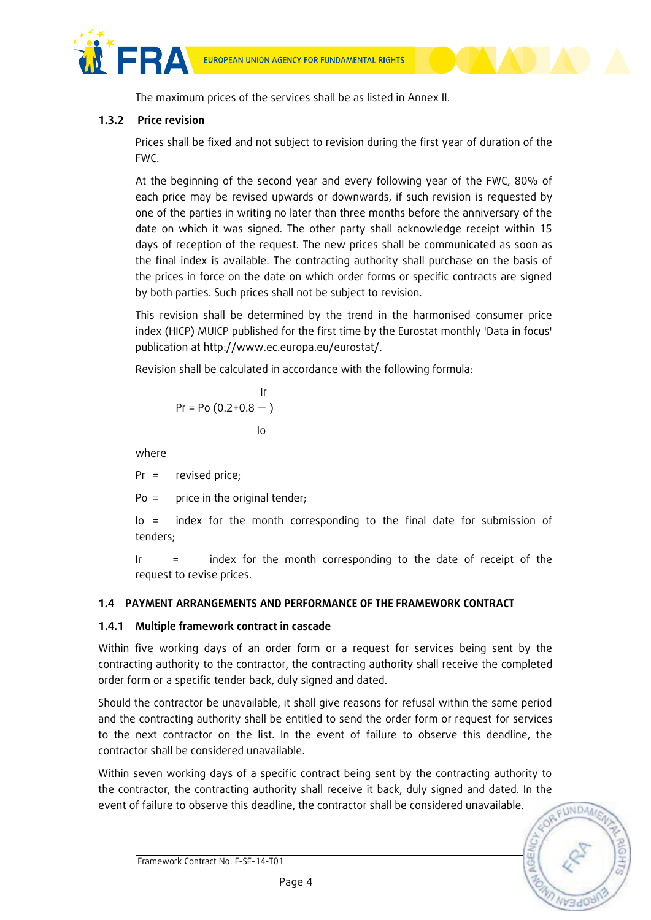

The maximum prices of the services shall be as listed in Annex II.

# **1.3.2 Price revision**

Prices shall be fixed and not subject to revision during the first year of duration of the FWC.

At the beginning of the second year and every following year of the FWC, 80% of each price may be revised upwards or downwards, if such revision is requested by one of the parties in writing no later than three months before the anniversary of the date on which it was signed. The other party shall acknowledge receipt within 15 days of reception of the request. The new prices shall be communicated as soon as the final index is available. The contracting authority shall purchase on the basis of the prices in force on the date on which order forms or specific contracts are signed by both parties. Such prices shall not be subject to revision.

This revision shall be determined by the trend in the harmonised consumer price index (HICP) MUICP published for the first time by the Eurostat monthly 'Data in focus' publication at http://www.ec.europa.eu/eurostat/.

Revision shall be calculated in accordance with the following formula:

$$
\begin{array}{c}\n \text{lr} \\
\text{Pr} = \text{Po} (0.2 + 0.8 - ) \\
\text{lo}\n \end{array}
$$

where

Pr = revised price;

Po = price in the original tender;

Io = index for the month corresponding to the final date for submission of tenders;

Ir = index for the month corresponding to the date of receipt of the request to revise prices.

# **1.4 PAYMENT ARRANGEMENTS AND PERFORMANCE OF THE FRAMEWORK CONTRACT**

#### **1.4.1 Multiple framework contract in cascade**

Within five working days of an order form or a request for services being sent by the contracting authority to the contractor, the contracting authority shall receive the completed order form or a specific tender back, duly signed and dated.

Should the contractor be unavailable, it shall give reasons for refusal within the same period and the contracting authority shall be entitled to send the order form or request for services to the next contractor on the list. In the event of failure to observe this deadline, the contractor shall be considered unavailable.

Within seven working days of a specific contract being sent by the contracting authority to the contractor, the contracting authority shall receive it back, duly signed and dated. In the event of failure to observe this deadline, the contractor shall be considered unavailable.

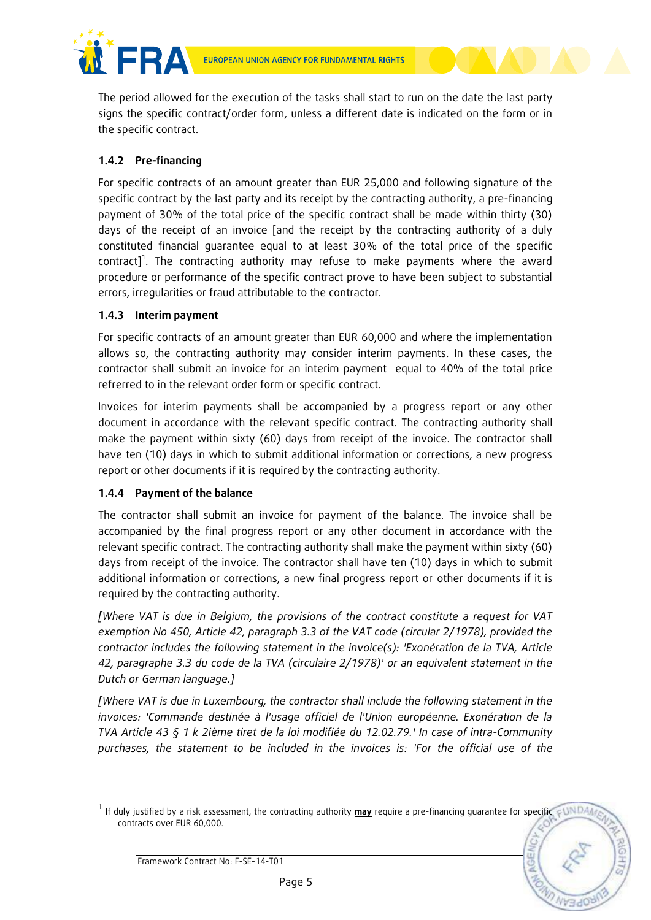

The period allowed for the execution of the tasks shall start to run on the date the last party signs the specific contract/order form, unless a different date is indicated on the form or in the specific contract.

# **1.4.2** Pre-financing

For specific contracts of an amount greater than EUR 25,000 and following signature of the specific contract by the last party and its receipt by the contracting authority, a pre-financing payment of 30% of the total price of the specific contract shall be made within thirty (30) days of the receipt of an invoice [and the receipt by the contracting authority of a duly constituted financial guarantee equal to at least 30% of the total price of the specific contract]<sup>1</sup>. The contracting authority may refuse to make payments where the award procedure or performance of the specific contract prove to have been subject to substantial errors, irregularities or fraud attributable to the contractor.

# **1.4.3 Interim payment**

For specific contracts of an amount greater than EUR 60,000 and where the implementation allows so, the contracting authority may consider interim payments. In these cases, the contractor shall submit an invoice for an interim payment equal to 40% of the total price refrerred to in the relevant order form or specific contract.

Invoices for interim payments shall be accompanied by a progress report or any other document in accordance with the relevant specific contract. The contracting authority shall make the payment within sixty (60) days from receipt of the invoice. The contractor shall have ten (10) days in which to submit additional information or corrections, a new progress report or other documents if it is required by the contracting authority.

# **1.4.4 Payment of the balance**

The contractor shall submit an invoice for payment of the balance. The invoice shall be accompanied by the final progress report or any other document in accordance with the relevant specific contract. The contracting authority shall make the payment within sixty (60) days from receipt of the invoice. The contractor shall have ten (10) days in which to submit additional information or corrections, a new final progress report or other documents if it is required by the contracting authority.

*[Where VAT is due in Belgium, the provisions of the contract constitute a request for VAT exemption No 450, Article 42, paragraph 3.3 of the VAT code (circular 2/1978), provided the contractor includes the following statement in the invoice(s): 'Exonération de la TVA, Article 42, paragraphe 3.3 du code de la TVA (circulaire 2/1978)' or an equivalent statement in the Dutch or German language.]*

*[Where VAT is due in Luxembourg, the contractor shall include the following statement in the invoices: 'Commande destinée à l'usage officiel de l'Union européenne. Exonération de la TVA Article 43 § 1 k 2ième tiret de la loi modifiée du 12.02.79.' In case of intra-Community purchases, the statement to be included in the invoices is: 'For the official use of the* 

Framework Contract No: F-SE-14-T01

-

<sup>1</sup> If duly justified by a risk assessment, the contracting authority **may** require a pre-financing guarantee for specific contracts over EUR 60,000.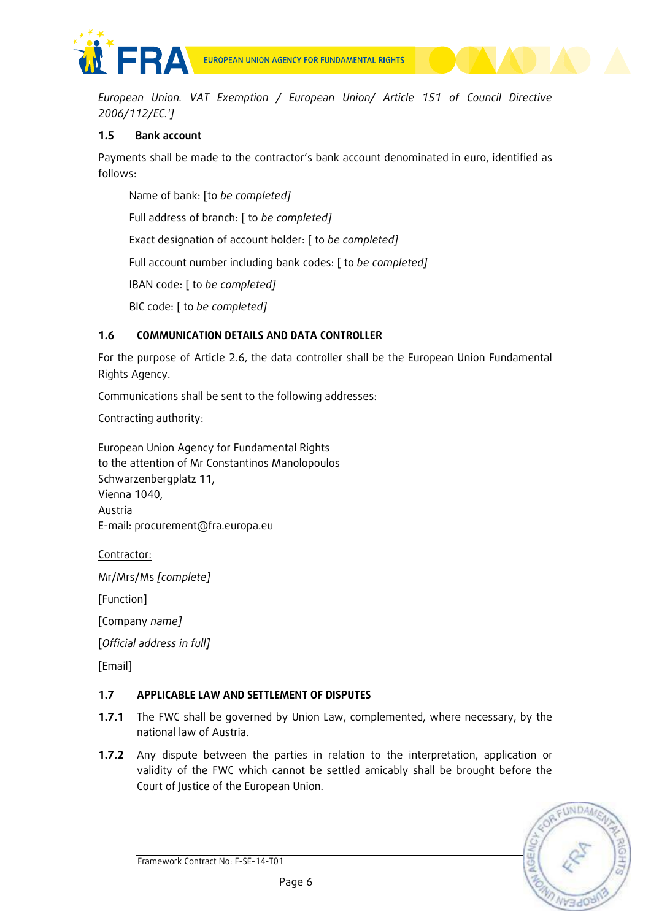

*European Union. VAT Exemption / European Union/ Article 151 of Council Directive 2006/112/EC.']*

# **1.5 Bank account**

Payments shall be made to the contractor's bank account denominated in euro, identified as follows:

Name of bank: [to *be completed]*

Full address of branch: [ to *be completed]*

Exact designation of account holder: [ to *be completed]*

Full account number including bank codes: [ to *be completed]*

IBAN code: [ to *be completed]*

BIC code: [ to *be completed]*

# **1.6 COMMUNICATION DETAILS AND DATA CONTROLLER**

For the purpose of Article 2.6, the data controller shall be the European Union Fundamental Rights Agency.

Communications shall be sent to the following addresses:

Contracting authority:

European Union Agency for Fundamental Rights to the attention of Mr Constantinos Manolopoulos Schwarzenbergplatz 11, Vienna 1040, Austria E-mail: procurement@fra.europa.eu

Contractor:

Mr/Mrs/Ms *[complete]*

[Function]

[Company *name]*

[*Official address in full]*

[Email]

# **1.7 APPLICABLE LAW AND SETTLEMENT OF DISPUTES**

- **1.7.1** The FWC shall be governed by Union Law, complemented, where necessary, by the national law of Austria.
- **1.7.2** Any dispute between the parties in relation to the interpretation, application or validity of the FWC which cannot be settled amicably shall be brought before the Court of Justice of the European Union.

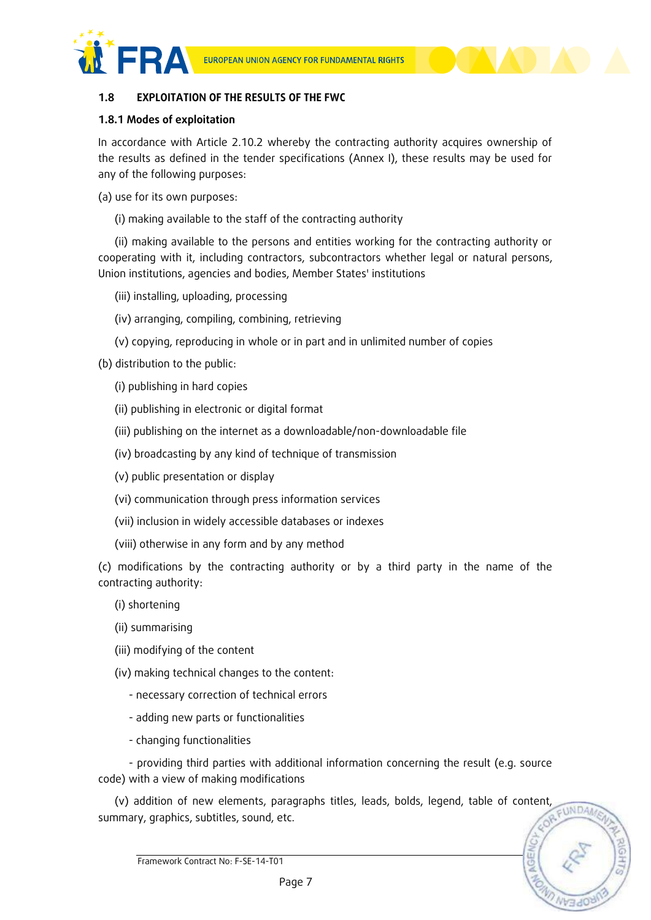

#### **1.8 EXPLOITATION OF THE RESULTS OF THE FWC**

#### **1.8.1 Modes of exploitation**

In accordance with Article 2.10.2 whereby the contracting authority acquires ownership of the results as defined in the tender specifications (Annex I), these results may be used for any of the following purposes:

- (a) use for its own purposes:
	- (i) making available to the staff of the contracting authority

(ii) making available to the persons and entities working for the contracting authority or cooperating with it, including contractors, subcontractors whether legal or natural persons, Union institutions, agencies and bodies, Member States' institutions

- (iii) installing, uploading, processing
- (iv) arranging, compiling, combining, retrieving
- (v) copying, reproducing in whole or in part and in unlimited number of copies

(b) distribution to the public:

- (i) publishing in hard copies
- (ii) publishing in electronic or digital format
- (iii) publishing on the internet as a downloadable/non-downloadable file
- (iv) broadcasting by any kind of technique of transmission
- (v) public presentation or display
- (vi) communication through press information services
- (vii) inclusion in widely accessible databases or indexes
- (viii) otherwise in any form and by any method

(c) modifications by the contracting authority or by a third party in the name of the contracting authority:

- (i) shortening
- (ii) summarising
- (iii) modifying of the content
- (iv) making technical changes to the content:
	- necessary correction of technical errors
	- adding new parts or functionalities
	- changing functionalities

- providing third parties with additional information concerning the result (e.g. source code) with a view of making modifications

(v) addition of new elements, paragraphs titles, leads, bolds, legend, table of content, FUNDA summary, graphics, subtitles, sound, etc.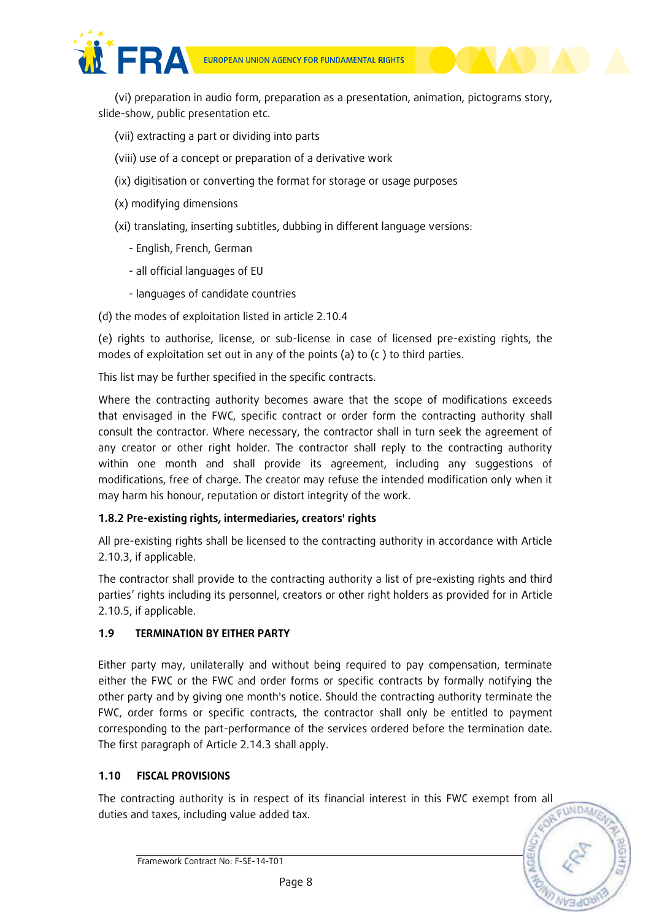

- (vii) extracting a part or dividing into parts
- (viii) use of a concept or preparation of a derivative work
- (ix) digitisation or converting the format for storage or usage purposes
- (x) modifying dimensions
- (xi) translating, inserting subtitles, dubbing in different language versions:
	- English, French, German
	- all official languages of EU
	- languages of candidate countries
- (d) the modes of exploitation listed in article 2.10.4

(e) rights to authorise, license, or sub-license in case of licensed pre-existing rights, the modes of exploitation set out in any of the points (a) to (c ) to third parties.

This list may be further specified in the specific contracts.

Where the contracting authority becomes aware that the scope of modifications exceeds that envisaged in the FWC, specific contract or order form the contracting authority shall consult the contractor. Where necessary, the contractor shall in turn seek the agreement of any creator or other right holder. The contractor shall reply to the contracting authority within one month and shall provide its agreement, including any suggestions of modifications, free of charge. The creator may refuse the intended modification only when it may harm his honour, reputation or distort integrity of the work.

# **1.8.2 Pre-existing rights, intermediaries, creators' rights**

All pre-existing rights shall be licensed to the contracting authority in accordance with Article 2.10.3, if applicable.

The contractor shall provide to the contracting authority a list of pre-existing rights and third parties' rights including its personnel, creators or other right holders as provided for in Article 2.10.5, if applicable.

# **1.9 TERMINATION BY EITHER PARTY**

Either party may, unilaterally and without being required to pay compensation, terminate either the FWC or the FWC and order forms or specific contracts by formally notifying the other party and by giving one month's notice. Should the contracting authority terminate the FWC, order forms or specific contracts, the contractor shall only be entitled to payment corresponding to the part-performance of the services ordered before the termination date. The first paragraph of Article 2.14.3 shall apply.

#### **1.10 FISCAL PROVISIONS**

The contracting authority is in respect of its financial interest in this FWC exempt from all duties and taxes, including value added tax.

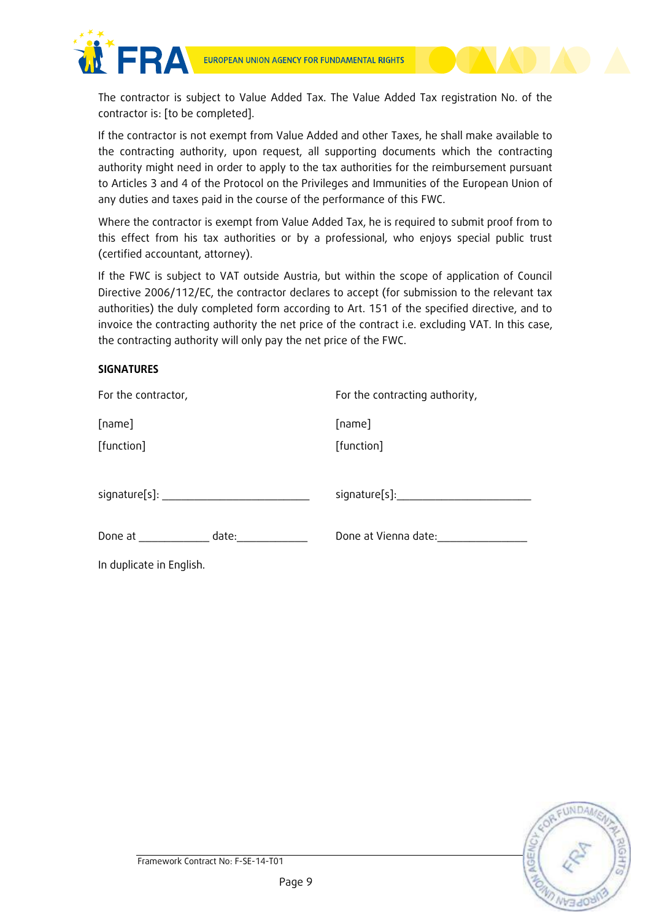

The contractor is subject to Value Added Tax. The Value Added Tax registration No. of the contractor is: [to be completed].

If the contractor is not exempt from Value Added and other Taxes, he shall make available to the contracting authority, upon request, all supporting documents which the contracting authority might need in order to apply to the tax authorities for the reimbursement pursuant to Articles 3 and 4 of the Protocol on the Privileges and Immunities of the European Union of any duties and taxes paid in the course of the performance of this FWC.

Where the contractor is exempt from Value Added Tax, he is required to submit proof from to this effect from his tax authorities or by a professional, who enjoys special public trust (certified accountant, attorney).

If the FWC is subject to VAT outside Austria, but within the scope of application of Council Directive 2006/112/EC, the contractor declares to accept (for submission to the relevant tax authorities) the duly completed form according to Art. 151 of the specified directive, and to invoice the contracting authority the net price of the contract i.e. excluding VAT. In this case, the contracting authority will only pay the net price of the FWC.

### **SIGNATURES**

| For the contractor,                                                                                            | For the contracting authority, |
|----------------------------------------------------------------------------------------------------------------|--------------------------------|
| [name]                                                                                                         | [name]                         |
| [function]                                                                                                     | [function]                     |
|                                                                                                                |                                |
| signature[s]: Note that the same state of the state of the state of the state of the state of the state of the | signature[s]:_________________ |
| Done at date:                                                                                                  | Done at Vienna date:           |
| In duplicate in English.                                                                                       |                                |
|                                                                                                                |                                |

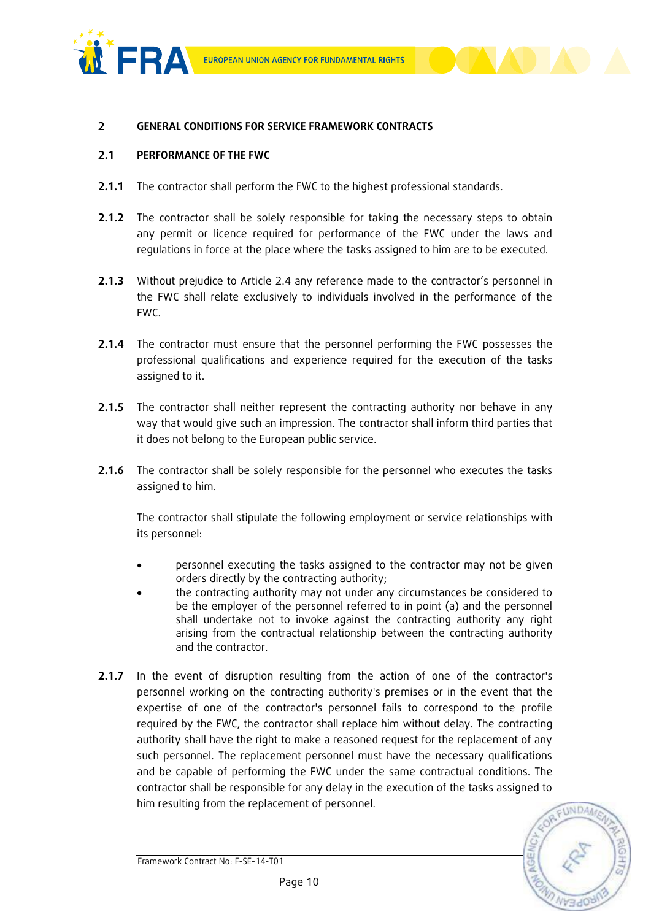



### **2 GENERAL CONDITIONS FOR SERVICE FRAMEWORK CONTRACTS**

#### **2.1 PERFORMANCE OF THE FWC**

- **2.1.1** The contractor shall perform the FWC to the highest professional standards.
- **2.1.2** The contractor shall be solely responsible for taking the necessary steps to obtain any permit or licence required for performance of the FWC under the laws and regulations in force at the place where the tasks assigned to him are to be executed.
- **2.1.3** Without prejudice to Article 2.4 any reference made to the contractor's personnel in the FWC shall relate exclusively to individuals involved in the performance of the FWC.
- **2.1.4** The contractor must ensure that the personnel performing the FWC possesses the professional qualifications and experience required for the execution of the tasks assigned to it.
- **2.1.5** The contractor shall neither represent the contracting authority nor behave in any way that would give such an impression. The contractor shall inform third parties that it does not belong to the European public service.
- **2.1.6** The contractor shall be solely responsible for the personnel who executes the tasks assigned to him.

The contractor shall stipulate the following employment or service relationships with its personnel:

- personnel executing the tasks assigned to the contractor may not be given orders directly by the contracting authority;
- the contracting authority may not under any circumstances be considered to be the employer of the personnel referred to in point (a) and the personnel shall undertake not to invoke against the contracting authority any right arising from the contractual relationship between the contracting authority and the contractor.
- **2.1.7** In the event of disruption resulting from the action of one of the contractor's personnel working on the contracting authority's premises or in the event that the expertise of one of the contractor's personnel fails to correspond to the profile required by the FWC, the contractor shall replace him without delay. The contracting authority shall have the right to make a reasoned request for the replacement of any such personnel. The replacement personnel must have the necessary qualifications and be capable of performing the FWC under the same contractual conditions. The contractor shall be responsible for any delay in the execution of the tasks assigned to him resulting from the replacement of personnel.

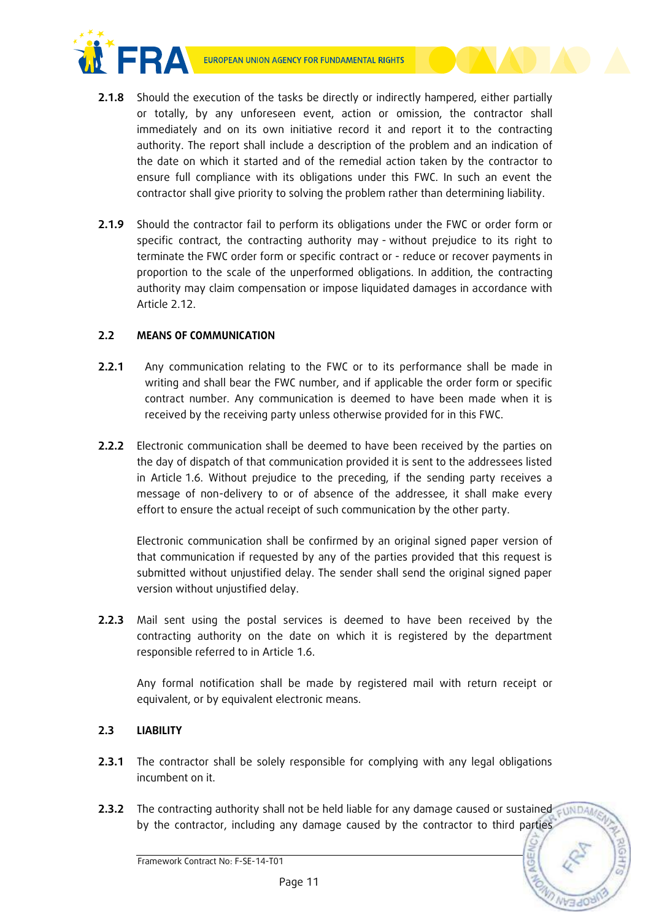

- **2.1.8** Should the execution of the tasks be directly or indirectly hampered, either partially or totally, by any unforeseen event, action or omission, the contractor shall immediately and on its own initiative record it and report it to the contracting authority. The report shall include a description of the problem and an indication of the date on which it started and of the remedial action taken by the contractor to ensure full compliance with its obligations under this FWC. In such an event the contractor shall give priority to solving the problem rather than determining liability.
- **2.1.9** Should the contractor fail to perform its obligations under the FWC or order form or specific contract, the contracting authority may - without prejudice to its right to terminate the FWC order form or specific contract or - reduce or recover payments in proportion to the scale of the unperformed obligations. In addition, the contracting authority may claim compensation or impose liquidated damages in accordance with Article 2.12.

# **2.2 MEANS OF COMMUNICATION**

- **2.2.1** Any communication relating to the FWC or to its performance shall be made in writing and shall bear the FWC number, and if applicable the order form or specific contract number. Any communication is deemed to have been made when it is received by the receiving party unless otherwise provided for in this FWC.
- **2.2.2** Electronic communication shall be deemed to have been received by the parties on the day of dispatch of that communication provided it is sent to the addressees listed in Article 1.6. Without prejudice to the preceding, if the sending party receives a message of non-delivery to or of absence of the addressee, it shall make every effort to ensure the actual receipt of such communication by the other party.

Electronic communication shall be confirmed by an original signed paper version of that communication if requested by any of the parties provided that this request is submitted without unjustified delay. The sender shall send the original signed paper version without unjustified delay.

**2.2.3** Mail sent using the postal services is deemed to have been received by the contracting authority on the date on which it is registered by the department responsible referred to in Article 1.6.

Any formal notification shall be made by registered mail with return receipt or equivalent, or by equivalent electronic means.

# **2.3 LIABILITY**

- **2.3.1** The contractor shall be solely responsible for complying with any legal obligations incumbent on it.
- **2.3.2** The contracting authority shall not be held liable for any damage caused or sustained by the contractor, including any damage caused by the contractor to third parties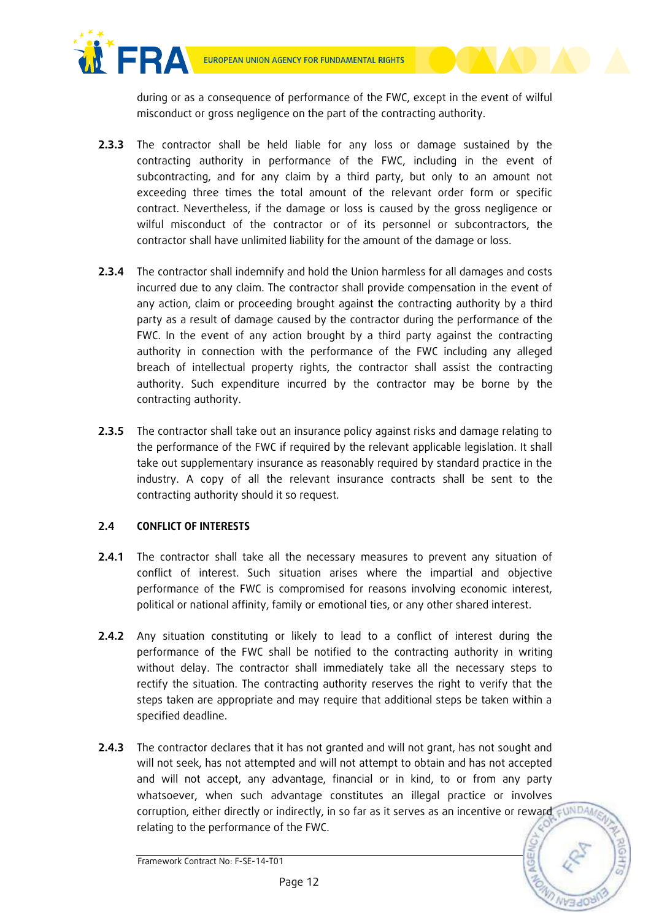

during or as a consequence of performance of the FWC, except in the event of wilful misconduct or gross negligence on the part of the contracting authority.

- **2.3.3** The contractor shall be held liable for any loss or damage sustained by the contracting authority in performance of the FWC, including in the event of subcontracting, and for any claim by a third party, but only to an amount not exceeding three times the total amount of the relevant order form or specific contract. Nevertheless, if the damage or loss is caused by the gross negligence or wilful misconduct of the contractor or of its personnel or subcontractors, the contractor shall have unlimited liability for the amount of the damage or loss.
- **2.3.4** The contractor shall indemnify and hold the Union harmless for all damages and costs incurred due to any claim. The contractor shall provide compensation in the event of any action, claim or proceeding brought against the contracting authority by a third party as a result of damage caused by the contractor during the performance of the FWC. In the event of any action brought by a third party against the contracting authority in connection with the performance of the FWC including any alleged breach of intellectual property rights, the contractor shall assist the contracting authority. Such expenditure incurred by the contractor may be borne by the contracting authority.
- **2.3.5** The contractor shall take out an insurance policy against risks and damage relating to the performance of the FWC if required by the relevant applicable legislation. It shall take out supplementary insurance as reasonably required by standard practice in the industry. A copy of all the relevant insurance contracts shall be sent to the contracting authority should it so request.

# **2.4 CONFLICT OF INTERESTS**

- **2.4.1** The contractor shall take all the necessary measures to prevent any situation of conflict of interest. Such situation arises where the impartial and objective performance of the FWC is compromised for reasons involving economic interest, political or national affinity, family or emotional ties, or any other shared interest.
- **2.4.2** Any situation constituting or likely to lead to a conflict of interest during the performance of the FWC shall be notified to the contracting authority in writing without delay. The contractor shall immediately take all the necessary steps to rectify the situation. The contracting authority reserves the right to verify that the steps taken are appropriate and may require that additional steps be taken within a specified deadline.
- **2.4.3** The contractor declares that it has not granted and will not grant, has not sought and will not seek, has not attempted and will not attempt to obtain and has not accepted and will not accept, any advantage, financial or in kind, to or from any party whatsoever, when such advantage constitutes an illegal practice or involves corruption, either directly or indirectly, in so far as it serves as an incentive or reward suNDA relating to the performance of the FWC.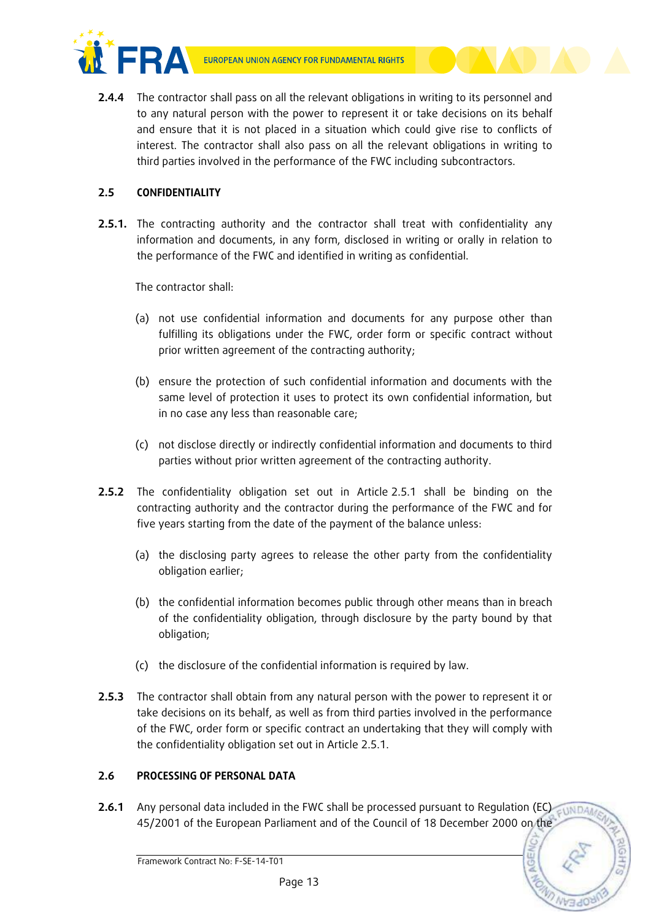



**2.4.4** The contractor shall pass on all the relevant obligations in writing to its personnel and to any natural person with the power to represent it or take decisions on its behalf and ensure that it is not placed in a situation which could give rise to conflicts of interest. The contractor shall also pass on all the relevant obligations in writing to third parties involved in the performance of the FWC including subcontractors.

# **2.5 CONFIDENTIALITY**

**2.5.1.** The contracting authority and the contractor shall treat with confidentiality any information and documents, in any form, disclosed in writing or orally in relation to the performance of the FWC and identified in writing as confidential.

The contractor shall:

- (a) not use confidential information and documents for any purpose other than fulfilling its obligations under the FWC, order form or specific contract without prior written agreement of the contracting authority;
- (b) ensure the protection of such confidential information and documents with the same level of protection it uses to protect its own confidential information, but in no case any less than reasonable care;
- (c) not disclose directly or indirectly confidential information and documents to third parties without prior written agreement of the contracting authority.
- **2.5.2** The confidentiality obligation set out in Article 2.5.1 shall be binding on the contracting authority and the contractor during the performance of the FWC and for five years starting from the date of the payment of the balance unless:
	- (a) the disclosing party agrees to release the other party from the confidentiality obligation earlier;
	- (b) the confidential information becomes public through other means than in breach of the confidentiality obligation, through disclosure by the party bound by that obligation;
	- (c) the disclosure of the confidential information is required by law.
- **2.5.3** The contractor shall obtain from any natural person with the power to represent it or take decisions on its behalf, as well as from third parties involved in the performance of the FWC, order form or specific contract an undertaking that they will comply with the confidentiality obligation set out in Article 2.5.1.

# **2.6 PROCESSING OF PERSONAL DATA**

**2.6.1** Any personal data included in the FWC shall be processed pursuant to Regulation (EC) **EDNDA** 45/2001 of the European Parliament and of the Council of 18 December 2000 on the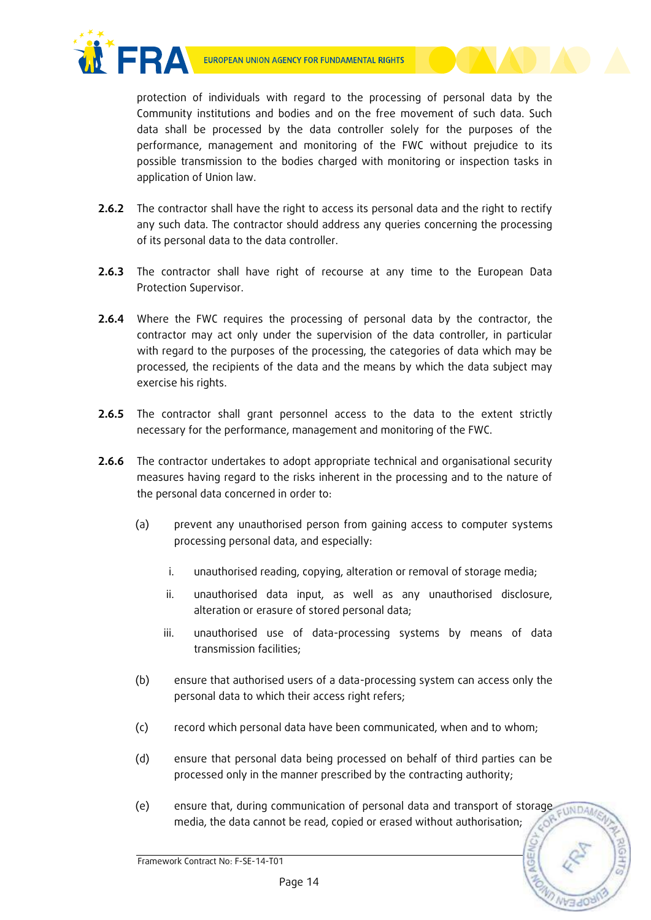

protection of individuals with regard to the processing of personal data by the Community institutions and bodies and on the free movement of such data. Such data shall be processed by the data controller solely for the purposes of the performance, management and monitoring of the FWC without prejudice to its possible transmission to the bodies charged with monitoring or inspection tasks in application of Union law.

- **2.6.2** The contractor shall have the right to access its personal data and the right to rectify any such data. The contractor should address any queries concerning the processing of its personal data to the data controller.
- **2.6.3** The contractor shall have right of recourse at any time to the European Data Protection Supervisor.
- **2.6.4** Where the FWC requires the processing of personal data by the contractor, the contractor may act only under the supervision of the data controller, in particular with regard to the purposes of the processing, the categories of data which may be processed, the recipients of the data and the means by which the data subject may exercise his rights.
- **2.6.5** The contractor shall grant personnel access to the data to the extent strictly necessary for the performance, management and monitoring of the FWC.
- **2.6.6** The contractor undertakes to adopt appropriate technical and organisational security measures having regard to the risks inherent in the processing and to the nature of the personal data concerned in order to:
	- (a) prevent any unauthorised person from gaining access to computer systems processing personal data, and especially:
		- i. unauthorised reading, copying, alteration or removal of storage media;
		- ii. unauthorised data input, as well as any unauthorised disclosure, alteration or erasure of stored personal data;
		- iii. unauthorised use of data-processing systems by means of data transmission facilities;
	- (b) ensure that authorised users of a data-processing system can access only the personal data to which their access right refers;
	- (c) record which personal data have been communicated, when and to whom;
	- (d) ensure that personal data being processed on behalf of third parties can be processed only in the manner prescribed by the contracting authority;
	- (e) ensure that, during communication of personal data and transport of storage media, the data cannot be read, copied or erased without authorisation;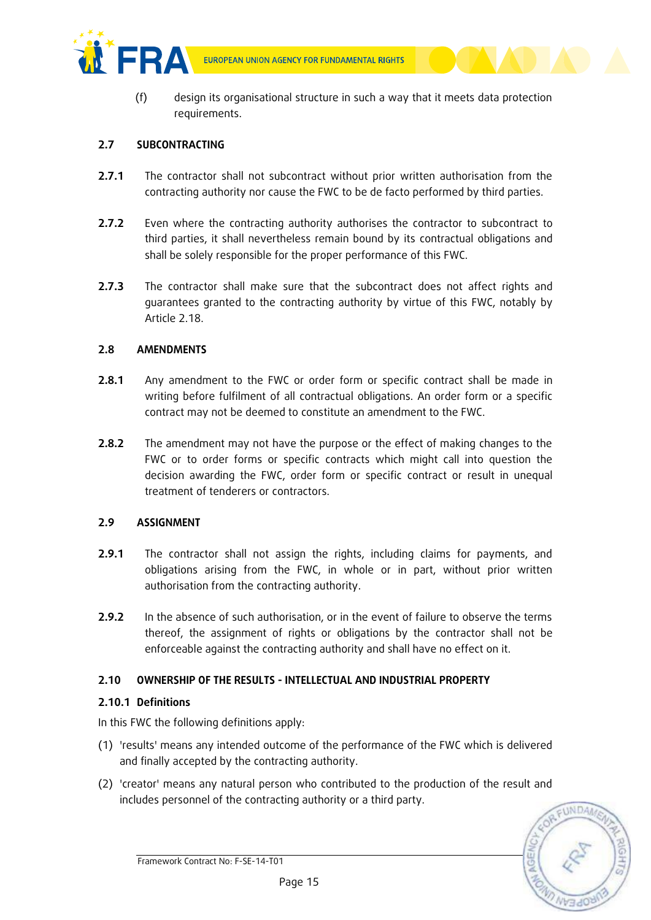

(f) design its organisational structure in such a way that it meets data protection requirements.

#### **2.7 SUBCONTRACTING**

- **2.7.1** The contractor shall not subcontract without prior written authorisation from the contracting authority nor cause the FWC to be de facto performed by third parties.
- **2.7.2** Even where the contracting authority authorises the contractor to subcontract to third parties, it shall nevertheless remain bound by its contractual obligations and shall be solely responsible for the proper performance of this FWC.
- **2.7.3** The contractor shall make sure that the subcontract does not affect rights and guarantees granted to the contracting authority by virtue of this FWC, notably by Article 2.18.

### **2.8 AMENDMENTS**

- **2.8.1** Any amendment to the FWC or order form or specific contract shall be made in writing before fulfilment of all contractual obligations. An order form or a specific contract may not be deemed to constitute an amendment to the FWC.
- **2.8.2** The amendment may not have the purpose or the effect of making changes to the FWC or to order forms or specific contracts which might call into question the decision awarding the FWC, order form or specific contract or result in unequal treatment of tenderers or contractors.

# **2.9 ASSIGNMENT**

- **2.9.1** The contractor shall not assign the rights, including claims for payments, and obligations arising from the FWC, in whole or in part, without prior written authorisation from the contracting authority.
- **2.9.2** In the absence of such authorisation, or in the event of failure to observe the terms thereof, the assignment of rights or obligations by the contractor shall not be enforceable against the contracting authority and shall have no effect on it.

#### **2.10 OWNERSHIP OF THE RESULTS - INTELLECTUAL AND INDUSTRIAL PROPERTY**

#### **2.10.1 Definitions**

In this FWC the following definitions apply:

- (1) 'results' means any intended outcome of the performance of the FWC which is delivered and finally accepted by the contracting authority.
- (2) 'creator' means any natural person who contributed to the production of the result and includes personnel of the contracting authority or a third party.

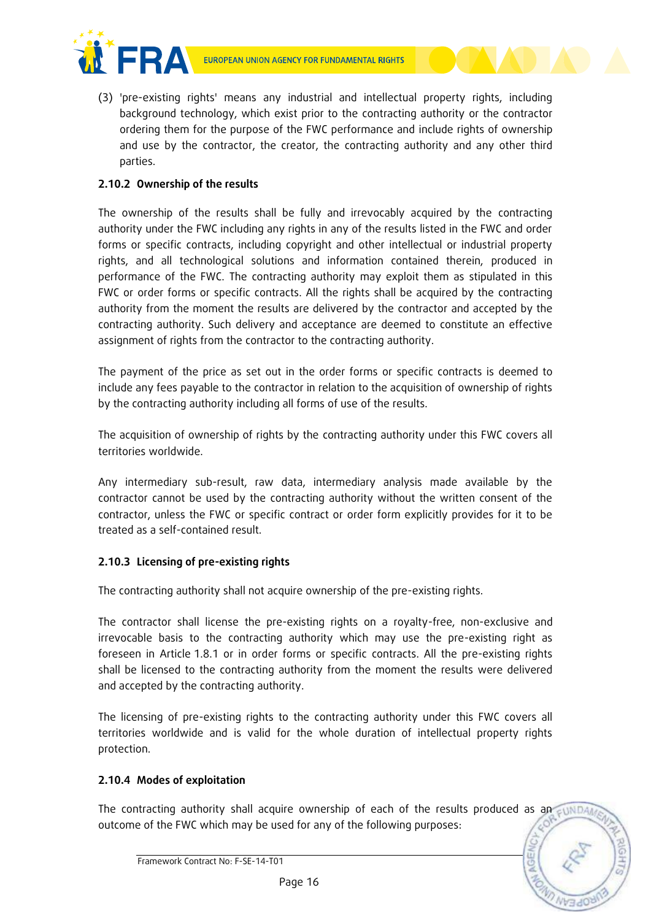

(3) 'pre-existing rights' means any industrial and intellectual property rights, including background technology, which exist prior to the contracting authority or the contractor ordering them for the purpose of the FWC performance and include rights of ownership and use by the contractor, the creator, the contracting authority and any other third parties.

# **2.10.2 Ownership of the results**

The ownership of the results shall be fully and irrevocably acquired by the contracting authority under the FWC including any rights in any of the results listed in the FWC and order forms or specific contracts, including copyright and other intellectual or industrial property rights, and all technological solutions and information contained therein, produced in performance of the FWC. The contracting authority may exploit them as stipulated in this FWC or order forms or specific contracts. All the rights shall be acquired by the contracting authority from the moment the results are delivered by the contractor and accepted by the contracting authority. Such delivery and acceptance are deemed to constitute an effective assignment of rights from the contractor to the contracting authority.

The payment of the price as set out in the order forms or specific contracts is deemed to include any fees payable to the contractor in relation to the acquisition of ownership of rights by the contracting authority including all forms of use of the results.

The acquisition of ownership of rights by the contracting authority under this FWC covers all territories worldwide.

Any intermediary sub-result, raw data, intermediary analysis made available by the contractor cannot be used by the contracting authority without the written consent of the contractor, unless the FWC or specific contract or order form explicitly provides for it to be treated as a self-contained result.

# **2.10.3 Licensing of pre-existing rights**

The contracting authority shall not acquire ownership of the pre-existing rights.

The contractor shall license the pre-existing rights on a royalty-free, non-exclusive and irrevocable basis to the contracting authority which may use the pre-existing right as foreseen in Article 1.8.1 or in order forms or specific contracts. All the pre-existing rights shall be licensed to the contracting authority from the moment the results were delivered and accepted by the contracting authority.

The licensing of pre-existing rights to the contracting authority under this FWC covers all territories worldwide and is valid for the whole duration of intellectual property rights protection.

# **2.10.4 Modes of exploitation**

The contracting authority shall acquire ownership of each of the results produced as an  $\epsilon$  wide outcome of the FWC which may be used for any of the following purposes:

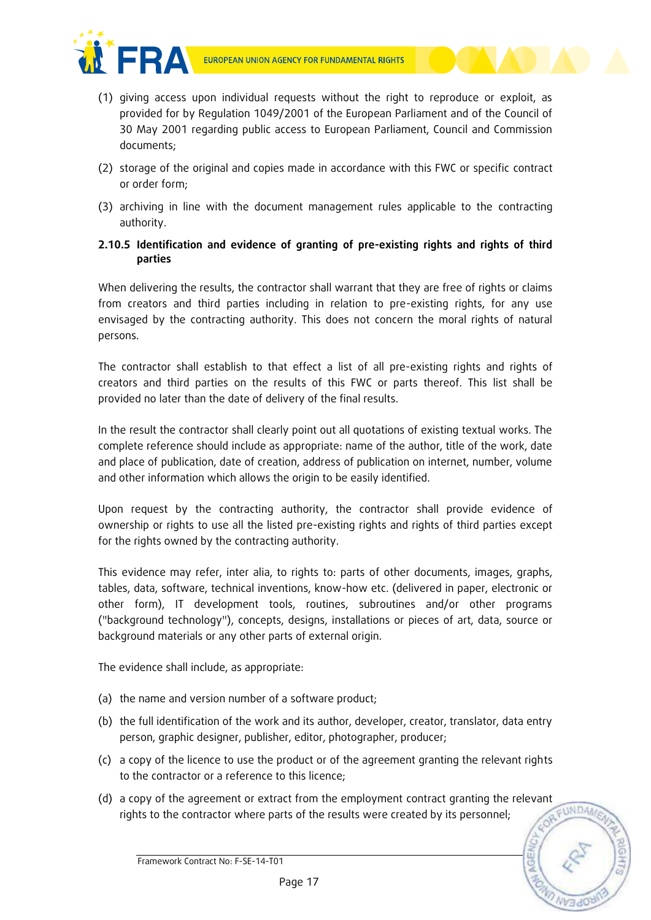

- (1) giving access upon individual requests without the right to reproduce or exploit, as provided for by Regulation 1049/2001 of the European Parliament and of the Council of 30 May 2001 regarding public access to European Parliament, Council and Commission documents;
- (2) storage of the original and copies made in accordance with this FWC or specific contract or order form;
- (3) archiving in line with the document management rules applicable to the contracting authority.
- **2.10.5 Identification and evidence of granting of pre-existing rights and rights of third parties**

When delivering the results, the contractor shall warrant that they are free of rights or claims from creators and third parties including in relation to pre-existing rights, for any use envisaged by the contracting authority. This does not concern the moral rights of natural persons.

The contractor shall establish to that effect a list of all pre-existing rights and rights of creators and third parties on the results of this FWC or parts thereof. This list shall be provided no later than the date of delivery of the final results.

In the result the contractor shall clearly point out all quotations of existing textual works. The complete reference should include as appropriate: name of the author, title of the work, date and place of publication, date of creation, address of publication on internet, number, volume and other information which allows the origin to be easily identified.

Upon request by the contracting authority, the contractor shall provide evidence of ownership or rights to use all the listed pre-existing rights and rights of third parties except for the rights owned by the contracting authority.

This evidence may refer, inter alia, to rights to: parts of other documents, images, graphs, tables, data, software, technical inventions, know-how etc. (delivered in paper, electronic or other form), IT development tools, routines, subroutines and/or other programs ("background technology"), concepts, designs, installations or pieces of art, data, source or background materials or any other parts of external origin.

The evidence shall include, as appropriate:

- (a) the name and version number of a software product;
- (b) the full identification of the work and its author, developer, creator, translator, data entry person, graphic designer, publisher, editor, photographer, producer;
- (c) a copy of the licence to use the product or of the agreement granting the relevant rights to the contractor or a reference to this licence;
- (d) a copy of the agreement or extract from the employment contract granting the relevant rights to the contractor where parts of the results were created by its personnel;

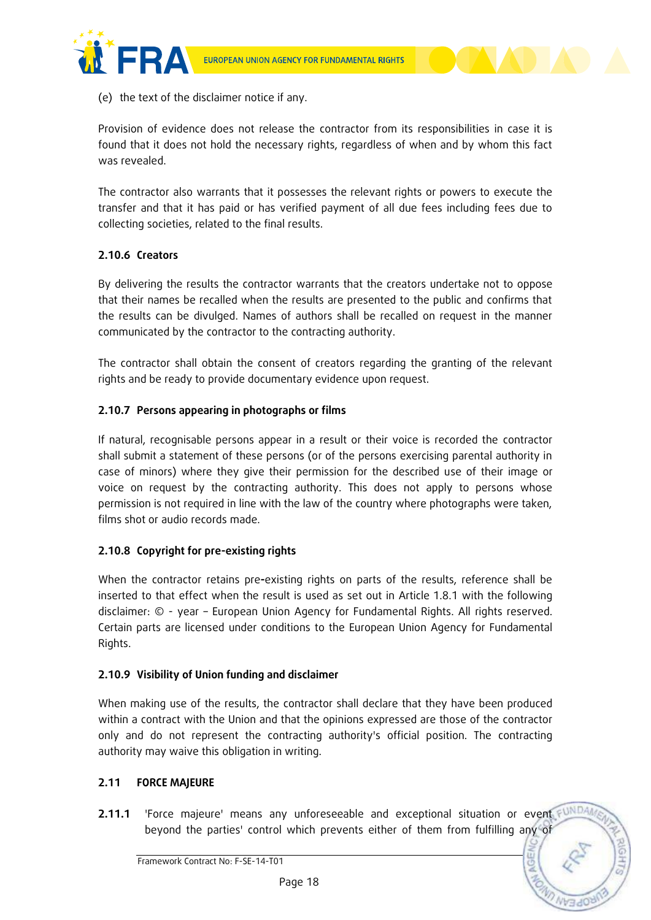



Provision of evidence does not release the contractor from its responsibilities in case it is found that it does not hold the necessary rights, regardless of when and by whom this fact was revealed.

The contractor also warrants that it possesses the relevant rights or powers to execute the transfer and that it has paid or has verified payment of all due fees including fees due to collecting societies, related to the final results.

# **2.10.6 Creators**

By delivering the results the contractor warrants that the creators undertake not to oppose that their names be recalled when the results are presented to the public and confirms that the results can be divulged. Names of authors shall be recalled on request in the manner communicated by the contractor to the contracting authority.

The contractor shall obtain the consent of creators regarding the granting of the relevant rights and be ready to provide documentary evidence upon request.

# **2.10.7 Persons appearing in photographs or films**

If natural, recognisable persons appear in a result or their voice is recorded the contractor shall submit a statement of these persons (or of the persons exercising parental authority in case of minors) where they give their permission for the described use of their image or voice on request by the contracting authority. This does not apply to persons whose permission is not required in line with the law of the country where photographs were taken, films shot or audio records made.

# **2.10.8 Copyright for pre-existing rights**

When the contractor retains pre**-**existing rights on parts of the results, reference shall be inserted to that effect when the result is used as set out in Article 1.8.1 with the following disclaimer: © - year – European Union Agency for Fundamental Rights. All rights reserved. Certain parts are licensed under conditions to the European Union Agency for Fundamental Rights.

#### **2.10.9 Visibility of Union funding and disclaimer**

When making use of the results, the contractor shall declare that they have been produced within a contract with the Union and that the opinions expressed are those of the contractor only and do not represent the contracting authority's official position. The contracting authority may waive this obligation in writing.

### **2.11 FORCE MAJEURE**

**2.11.1** 'Force majeure' means any unforeseeable and exceptional situation or event FUND beyond the parties' control which prevents either of them from fulfilling any of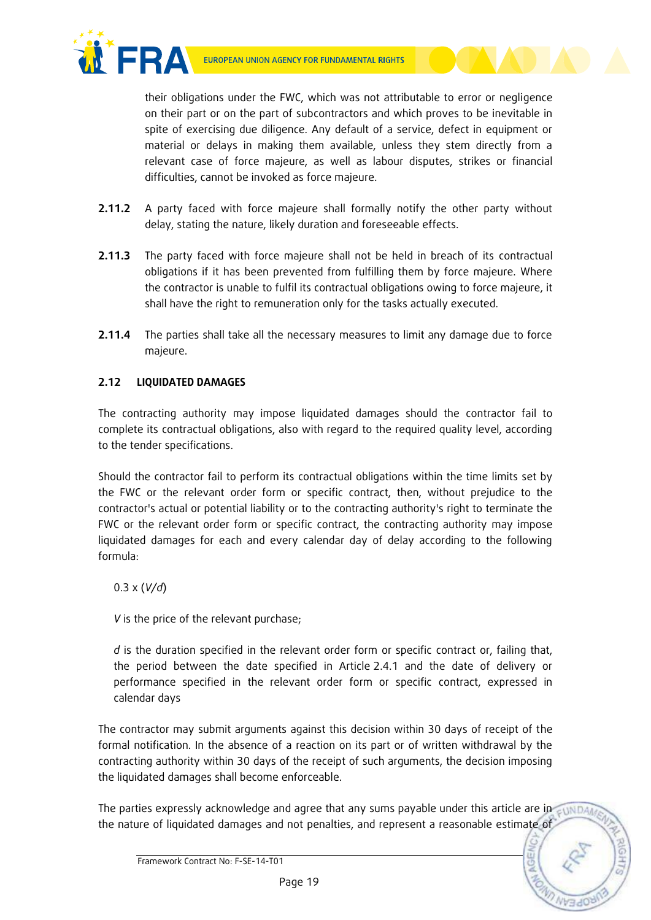

their obligations under the FWC, which was not attributable to error or negligence on their part or on the part of subcontractors and which proves to be inevitable in spite of exercising due diligence. Any default of a service, defect in equipment or material or delays in making them available, unless they stem directly from a relevant case of force majeure, as well as labour disputes, strikes or financial difficulties, cannot be invoked as force majeure.

- **2.11.2** A party faced with force majeure shall formally notify the other party without delay, stating the nature, likely duration and foreseeable effects.
- **2.11.3** The party faced with force majeure shall not be held in breach of its contractual obligations if it has been prevented from fulfilling them by force majeure. Where the contractor is unable to fulfil its contractual obligations owing to force majeure, it shall have the right to remuneration only for the tasks actually executed.
- **2.11.4** The parties shall take all the necessary measures to limit any damage due to force majeure.

# **2.12 LIQUIDATED DAMAGES**

The contracting authority may impose liquidated damages should the contractor fail to complete its contractual obligations, also with regard to the required quality level, according to the tender specifications.

Should the contractor fail to perform its contractual obligations within the time limits set by the FWC or the relevant order form or specific contract, then, without prejudice to the contractor's actual or potential liability or to the contracting authority's right to terminate the FWC or the relevant order form or specific contract, the contracting authority may impose liquidated damages for each and every calendar day of delay according to the following formula:

# 0.3 x (*V/d*)

*V* is the price of the relevant purchase;

*d* is the duration specified in the relevant order form or specific contract or, failing that, the period between the date specified in Article 2.4.1 and the date of delivery or performance specified in the relevant order form or specific contract, expressed in calendar days

The contractor may submit arguments against this decision within 30 days of receipt of the formal notification. In the absence of a reaction on its part or of written withdrawal by the contracting authority within 30 days of the receipt of such arguments, the decision imposing the liquidated damages shall become enforceable.

The parties expressly acknowledge and agree that any sums payable under this article are in  $\epsilon$ uNDA the nature of liquidated damages and not penalties, and represent a reasonable estimate of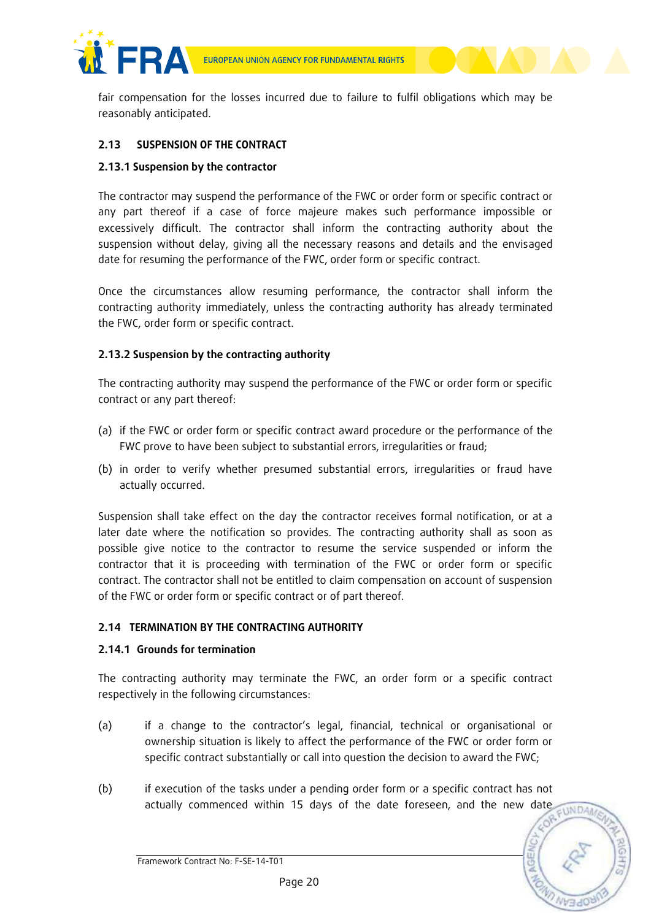

fair compensation for the losses incurred due to failure to fulfil obligations which may be reasonably anticipated.

# **2.13 SUSPENSION OF THE CONTRACT**

#### **2.13.1 Suspension by the contractor**

The contractor may suspend the performance of the FWC or order form or specific contract or any part thereof if a case of force majeure makes such performance impossible or excessively difficult. The contractor shall inform the contracting authority about the suspension without delay, giving all the necessary reasons and details and the envisaged date for resuming the performance of the FWC, order form or specific contract.

Once the circumstances allow resuming performance, the contractor shall inform the contracting authority immediately, unless the contracting authority has already terminated the FWC, order form or specific contract.

### **2.13.2 Suspension by the contracting authority**

The contracting authority may suspend the performance of the FWC or order form or specific contract or any part thereof:

- (a) if the FWC or order form or specific contract award procedure or the performance of the FWC prove to have been subject to substantial errors, irregularities or fraud;
- (b) in order to verify whether presumed substantial errors, irregularities or fraud have actually occurred.

Suspension shall take effect on the day the contractor receives formal notification, or at a later date where the notification so provides. The contracting authority shall as soon as possible give notice to the contractor to resume the service suspended or inform the contractor that it is proceeding with termination of the FWC or order form or specific contract. The contractor shall not be entitled to claim compensation on account of suspension of the FWC or order form or specific contract or of part thereof.

### **2.14 TERMINATION BY THE CONTRACTING AUTHORITY**

#### **2.14.1 Grounds for termination**

The contracting authority may terminate the FWC, an order form or a specific contract respectively in the following circumstances:

- (a) if a change to the contractor's legal, financial, technical or organisational or ownership situation is likely to affect the performance of the FWC or order form or specific contract substantially or call into question the decision to award the FWC;
- (b) if execution of the tasks under a pending order form or a specific contract has not actually commenced within 15 days of the date foreseen, and the new date CUNDAN

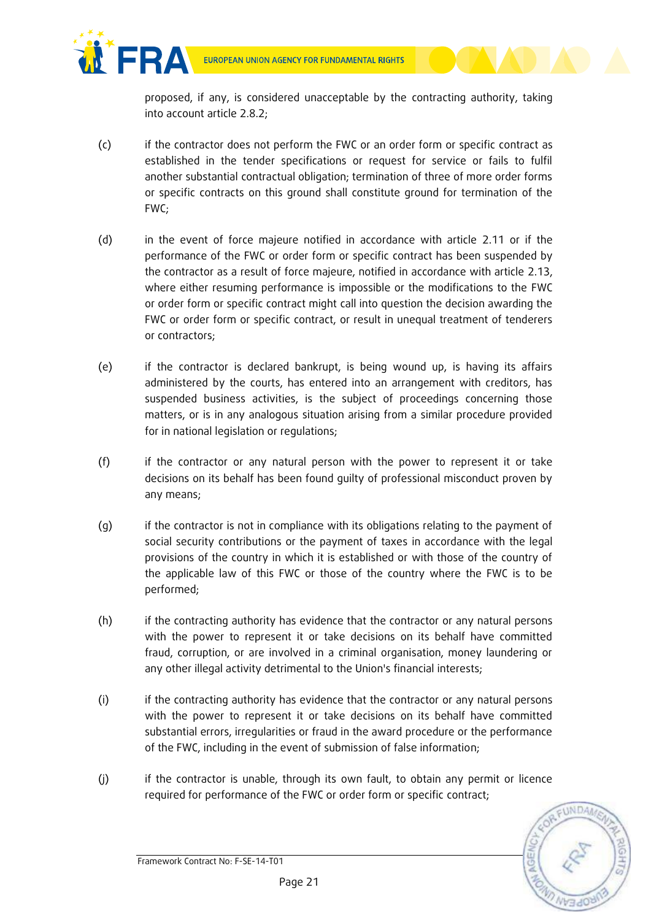proposed, if any, is considered unacceptable by the contracting authority, taking into account article 2.8.2;

- (c) if the contractor does not perform the FWC or an order form or specific contract as established in the tender specifications or request for service or fails to fulfil another substantial contractual obligation; termination of three of more order forms or specific contracts on this ground shall constitute ground for termination of the FWC;
- (d) in the event of force majeure notified in accordance with article 2.11 or if the performance of the FWC or order form or specific contract has been suspended by the contractor as a result of force majeure, notified in accordance with article 2.13, where either resuming performance is impossible or the modifications to the FWC or order form or specific contract might call into question the decision awarding the FWC or order form or specific contract, or result in unequal treatment of tenderers or contractors;
- (e) if the contractor is declared bankrupt, is being wound up, is having its affairs administered by the courts, has entered into an arrangement with creditors, has suspended business activities, is the subject of proceedings concerning those matters, or is in any analogous situation arising from a similar procedure provided for in national legislation or regulations;
- (f) if the contractor or any natural person with the power to represent it or take decisions on its behalf has been found guilty of professional misconduct proven by any means;
- (g) if the contractor is not in compliance with its obligations relating to the payment of social security contributions or the payment of taxes in accordance with the legal provisions of the country in which it is established or with those of the country of the applicable law of this FWC or those of the country where the FWC is to be performed;
- (h) if the contracting authority has evidence that the contractor or any natural persons with the power to represent it or take decisions on its behalf have committed fraud, corruption, or are involved in a criminal organisation, money laundering or any other illegal activity detrimental to the Union's financial interests;
- (i) if the contracting authority has evidence that the contractor or any natural persons with the power to represent it or take decisions on its behalf have committed substantial errors, irregularities or fraud in the award procedure or the performance of the FWC, including in the event of submission of false information;
- (j) if the contractor is unable, through its own fault, to obtain any permit or licence required for performance of the FWC or order form or specific contract;

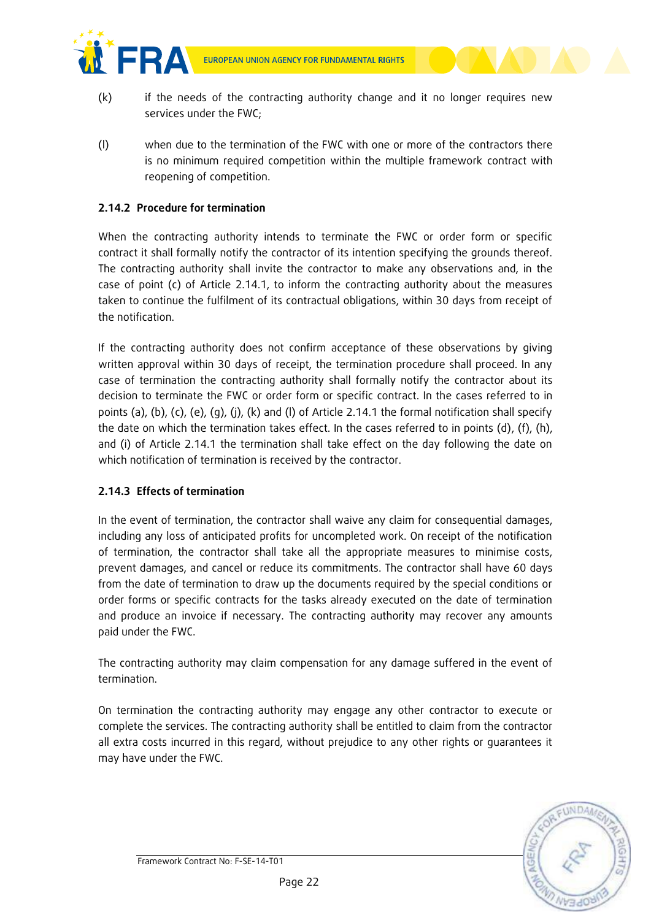



- (k) if the needs of the contracting authority change and it no longer requires new services under the FWC;
- (l) when due to the termination of the FWC with one or more of the contractors there is no minimum required competition within the multiple framework contract with reopening of competition.

# **2.14.2 Procedure for termination**

When the contracting authority intends to terminate the FWC or order form or specific contract it shall formally notify the contractor of its intention specifying the grounds thereof. The contracting authority shall invite the contractor to make any observations and, in the case of point (c) of Article 2.14.1, to inform the contracting authority about the measures taken to continue the fulfilment of its contractual obligations, within 30 days from receipt of the notification.

If the contracting authority does not confirm acceptance of these observations by giving written approval within 30 days of receipt, the termination procedure shall proceed. In any case of termination the contracting authority shall formally notify the contractor about its decision to terminate the FWC or order form or specific contract. In the cases referred to in points (a), (b), (c), (e), (g), (j), (k) and (l) of Article 2.14.1 the formal notification shall specify the date on which the termination takes effect. In the cases referred to in points (d), (f), (h), and (i) of Article 2.14.1 the termination shall take effect on the day following the date on which notification of termination is received by the contractor.

# **2.14.3 Effects of termination**

In the event of termination, the contractor shall waive any claim for consequential damages, including any loss of anticipated profits for uncompleted work. On receipt of the notification of termination, the contractor shall take all the appropriate measures to minimise costs, prevent damages, and cancel or reduce its commitments. The contractor shall have 60 days from the date of termination to draw up the documents required by the special conditions or order forms or specific contracts for the tasks already executed on the date of termination and produce an invoice if necessary. The contracting authority may recover any amounts paid under the FWC.

The contracting authority may claim compensation for any damage suffered in the event of termination.

On termination the contracting authority may engage any other contractor to execute or complete the services. The contracting authority shall be entitled to claim from the contractor all extra costs incurred in this regard, without prejudice to any other rights or guarantees it may have under the FWC.

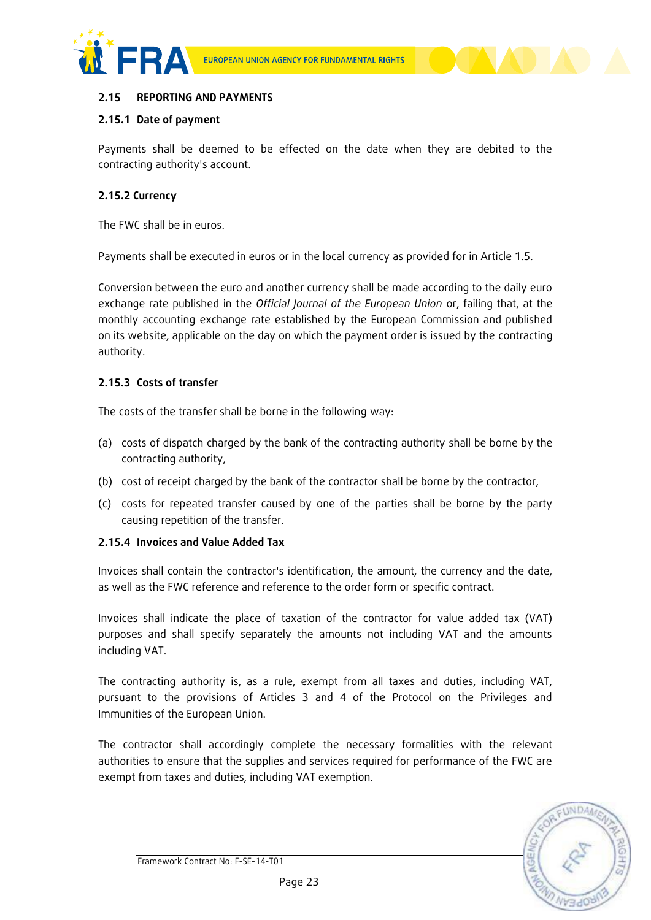



# **2.15 REPORTING AND PAYMENTS**

# **2.15.1 Date of payment**

Payments shall be deemed to be effected on the date when they are debited to the contracting authority's account.

### **2.15.2 Currency**

The FWC shall be in euros.

Payments shall be executed in euros or in the local currency as provided for in Article 1.5.

Conversion between the euro and another currency shall be made according to the daily euro exchange rate published in the *Official Journal of the European Union* or, failing that, at the monthly accounting exchange rate established by the European Commission and published on its website, applicable on the day on which the payment order is issued by the contracting authority.

# **2.15.3 Costs of transfer**

The costs of the transfer shall be borne in the following way:

- (a) costs of dispatch charged by the bank of the contracting authority shall be borne by the contracting authority,
- (b) cost of receipt charged by the bank of the contractor shall be borne by the contractor,
- (c) costs for repeated transfer caused by one of the parties shall be borne by the party causing repetition of the transfer.

#### **2.15.4 Invoices and Value Added Tax**

Invoices shall contain the contractor's identification, the amount, the currency and the date, as well as the FWC reference and reference to the order form or specific contract.

Invoices shall indicate the place of taxation of the contractor for value added tax (VAT) purposes and shall specify separately the amounts not including VAT and the amounts including VAT.

The contracting authority is, as a rule, exempt from all taxes and duties, including VAT, pursuant to the provisions of Articles 3 and 4 of the Protocol on the Privileges and Immunities of the European Union.

The contractor shall accordingly complete the necessary formalities with the relevant authorities to ensure that the supplies and services required for performance of the FWC are exempt from taxes and duties, including VAT exemption.

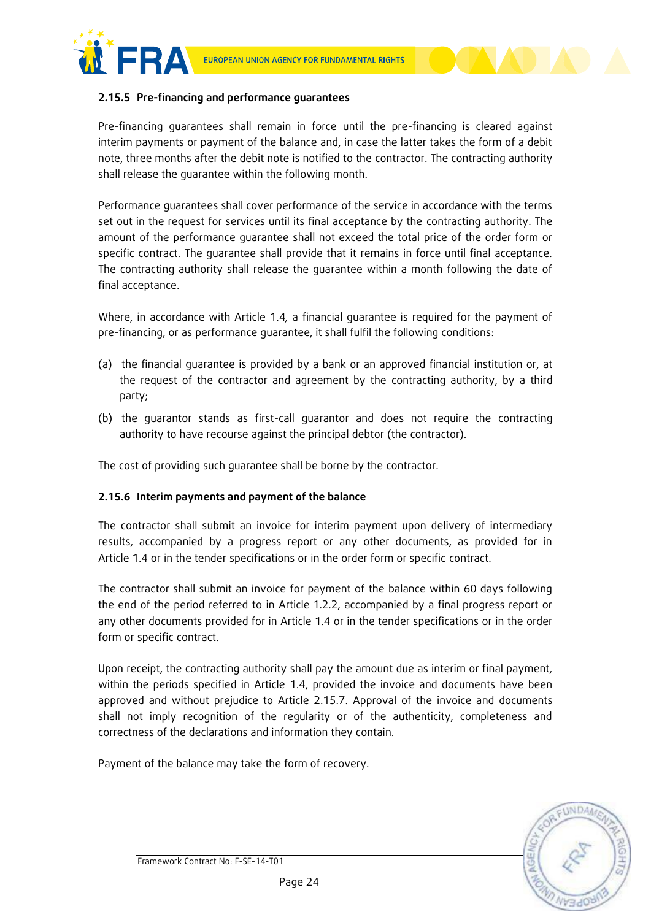

#### **2.15.5 Pre-financing and performance guarantees**

Pre-financing guarantees shall remain in force until the pre-financing is cleared against interim payments or payment of the balance and, in case the latter takes the form of a debit note, three months after the debit note is notified to the contractor. The contracting authority shall release the guarantee within the following month.

Performance guarantees shall cover performance of the service in accordance with the terms set out in the request for services until its final acceptance by the contracting authority. The amount of the performance guarantee shall not exceed the total price of the order form or specific contract. The guarantee shall provide that it remains in force until final acceptance. The contracting authority shall release the guarantee within a month following the date of final acceptance.

Where, in accordance with Article 1.4*,* a financial guarantee is required for the payment of pre-financing, or as performance guarantee, it shall fulfil the following conditions:

- (a) the financial guarantee is provided by a bank or an approved financial institution or, at the request of the contractor and agreement by the contracting authority, by a third party;
- (b) the guarantor stands as first-call guarantor and does not require the contracting authority to have recourse against the principal debtor (the contractor).

The cost of providing such guarantee shall be borne by the contractor.

# **2.15.6 Interim payments and payment of the balance**

The contractor shall submit an invoice for interim payment upon delivery of intermediary results, accompanied by a progress report or any other documents, as provided for in Article 1.4 or in the tender specifications or in the order form or specific contract.

The contractor shall submit an invoice for payment of the balance within 60 days following the end of the period referred to in Article 1.2.2, accompanied by a final progress report or any other documents provided for in Article 1.4 or in the tender specifications or in the order form or specific contract.

Upon receipt, the contracting authority shall pay the amount due as interim or final payment, within the periods specified in Article 1.4, provided the invoice and documents have been approved and without prejudice to Article 2.15.7. Approval of the invoice and documents shall not imply recognition of the regularity or of the authenticity, completeness and correctness of the declarations and information they contain.

Payment of the balance may take the form of recovery.

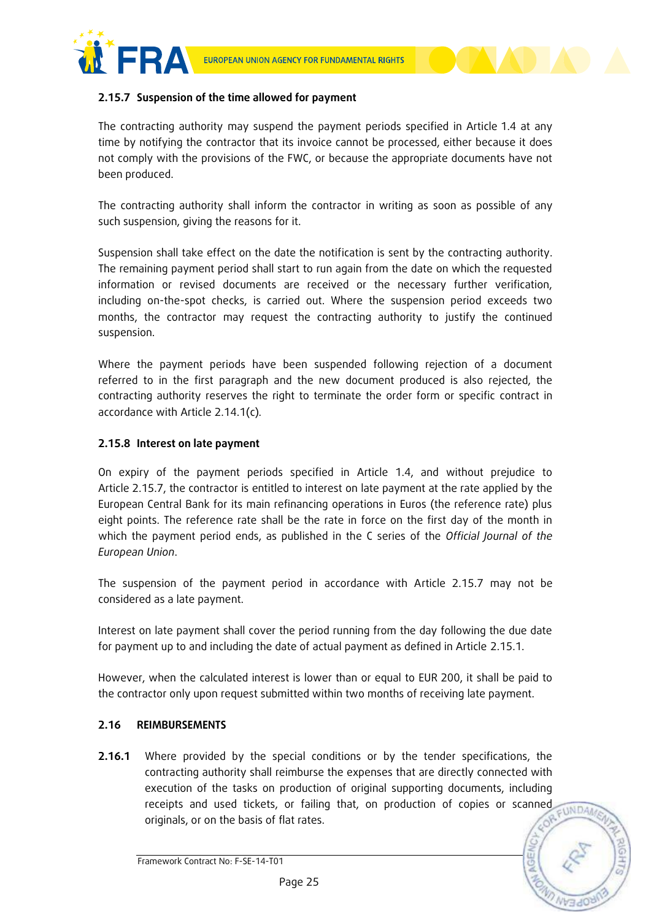

### **2.15.7 Suspension of the time allowed for payment**

The contracting authority may suspend the payment periods specified in Article 1.4 at any time by notifying the contractor that its invoice cannot be processed, either because it does not comply with the provisions of the FWC, or because the appropriate documents have not been produced.

The contracting authority shall inform the contractor in writing as soon as possible of any such suspension, giving the reasons for it.

Suspension shall take effect on the date the notification is sent by the contracting authority. The remaining payment period shall start to run again from the date on which the requested information or revised documents are received or the necessary further verification, including on-the-spot checks, is carried out. Where the suspension period exceeds two months, the contractor may request the contracting authority to justify the continued suspension.

Where the payment periods have been suspended following rejection of a document referred to in the first paragraph and the new document produced is also rejected, the contracting authority reserves the right to terminate the order form or specific contract in accordance with Article 2.14.1(c)*.*

# **2.15.8 Interest on late payment**

On expiry of the payment periods specified in Article 1.4, and without prejudice to Article 2.15.7, the contractor is entitled to interest on late payment at the rate applied by the European Central Bank for its main refinancing operations in Euros (the reference rate) plus eight points. The reference rate shall be the rate in force on the first day of the month in which the payment period ends, as published in the C series of the *Official Journal of the European Union*.

The suspension of the payment period in accordance with Article 2.15.7 may not be considered as a late payment.

Interest on late payment shall cover the period running from the day following the due date for payment up to and including the date of actual payment as defined in Article 2.15.1.

However, when the calculated interest is lower than or equal to EUR 200, it shall be paid to the contractor only upon request submitted within two months of receiving late payment.

#### **2.16 REIMBURSEMENTS**

**2.16.1** Where provided by the special conditions or by the tender specifications, the contracting authority shall reimburse the expenses that are directly connected with execution of the tasks on production of original supporting documents, including receipts and used tickets, or failing that, on production of copies or scanned **CUNDAN** originals, or on the basis of flat rates.

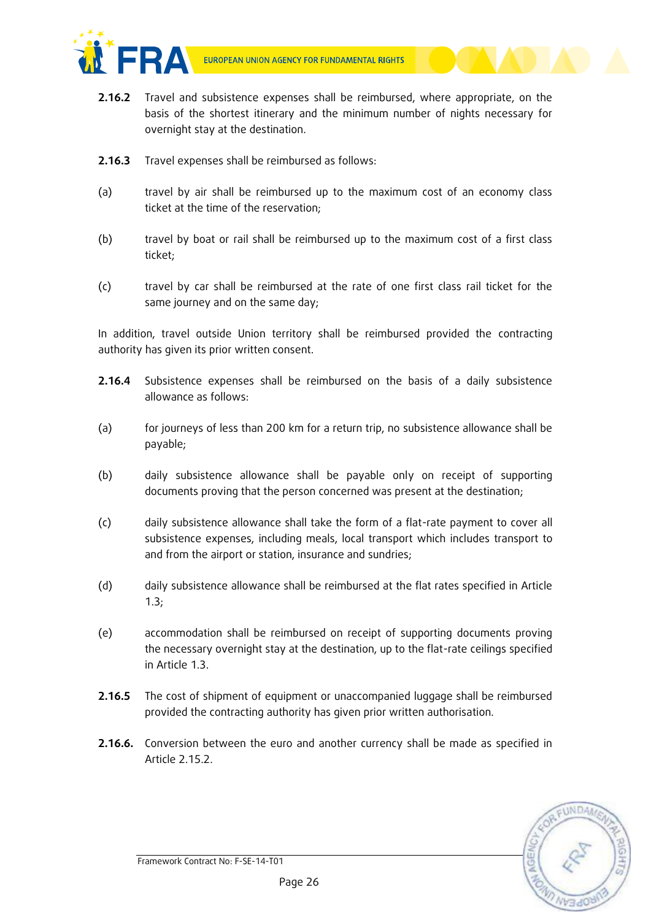

- **2.16.2** Travel and subsistence expenses shall be reimbursed, where appropriate, on the basis of the shortest itinerary and the minimum number of nights necessary for overnight stay at the destination.
- **2.16.3** Travel expenses shall be reimbursed as follows:
- (a) travel by air shall be reimbursed up to the maximum cost of an economy class ticket at the time of the reservation;
- (b) travel by boat or rail shall be reimbursed up to the maximum cost of a first class ticket;
- (c) travel by car shall be reimbursed at the rate of one first class rail ticket for the same journey and on the same day;

In addition, travel outside Union territory shall be reimbursed provided the contracting authority has given its prior written consent.

- **2.16.4** Subsistence expenses shall be reimbursed on the basis of a daily subsistence allowance as follows:
- (a) for journeys of less than 200 km for a return trip, no subsistence allowance shall be payable;
- (b) daily subsistence allowance shall be payable only on receipt of supporting documents proving that the person concerned was present at the destination;
- (c) daily subsistence allowance shall take the form of a flat-rate payment to cover all subsistence expenses, including meals, local transport which includes transport to and from the airport or station, insurance and sundries;
- (d) daily subsistence allowance shall be reimbursed at the flat rates specified in Article 1.3;
- (e) accommodation shall be reimbursed on receipt of supporting documents proving the necessary overnight stay at the destination, up to the flat-rate ceilings specified in Article 1.3.
- **2.16.5** The cost of shipment of equipment or unaccompanied luggage shall be reimbursed provided the contracting authority has given prior written authorisation.
- **2.16.6.** Conversion between the euro and another currency shall be made as specified in Article 2.15.2.

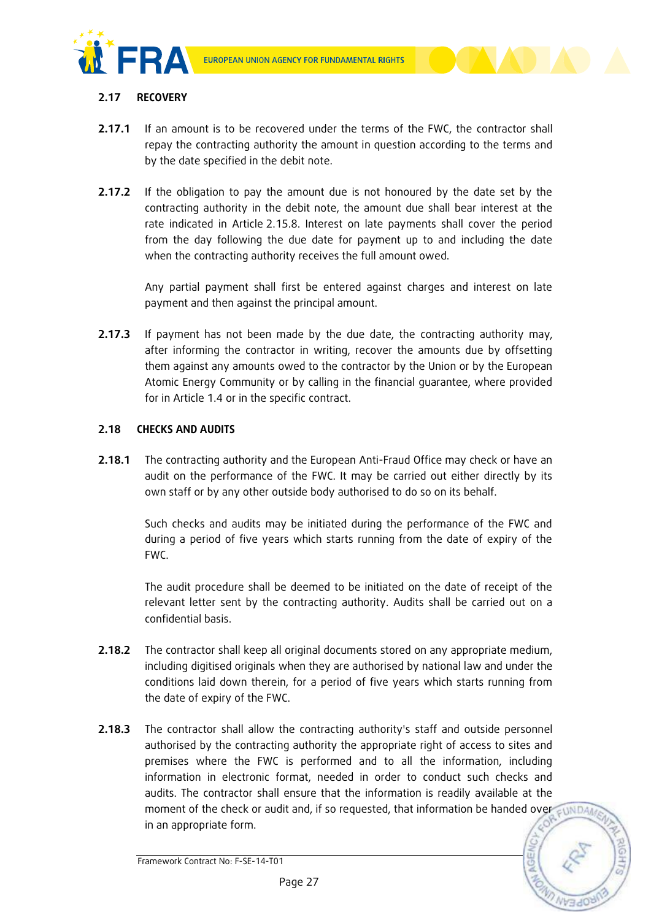

# **2.17 RECOVERY**

- **2.17.1** If an amount is to be recovered under the terms of the FWC, the contractor shall repay the contracting authority the amount in question according to the terms and by the date specified in the debit note.
- **2.17.2** If the obligation to pay the amount due is not honoured by the date set by the contracting authority in the debit note, the amount due shall bear interest at the rate indicated in Article 2.15.8. Interest on late payments shall cover the period from the day following the due date for payment up to and including the date when the contracting authority receives the full amount owed.

Any partial payment shall first be entered against charges and interest on late payment and then against the principal amount.

**2.17.3** If payment has not been made by the due date, the contracting authority may, after informing the contractor in writing, recover the amounts due by offsetting them against any amounts owed to the contractor by the Union or by the European Atomic Energy Community or by calling in the financial guarantee, where provided for in Article 1.4 or in the specific contract.

### **2.18 CHECKS AND AUDITS**

**2.18.1** The contracting authority and the European Anti-Fraud Office may check or have an audit on the performance of the FWC. It may be carried out either directly by its own staff or by any other outside body authorised to do so on its behalf.

> Such checks and audits may be initiated during the performance of the FWC and during a period of five years which starts running from the date of expiry of the FWC.

> The audit procedure shall be deemed to be initiated on the date of receipt of the relevant letter sent by the contracting authority. Audits shall be carried out on a confidential basis.

- **2.18.2** The contractor shall keep all original documents stored on any appropriate medium, including digitised originals when they are authorised by national law and under the conditions laid down therein, for a period of five years which starts running from the date of expiry of the FWC.
- **2.18.3** The contractor shall allow the contracting authority's staff and outside personnel authorised by the contracting authority the appropriate right of access to sites and premises where the FWC is performed and to all the information, including information in electronic format, needed in order to conduct such checks and audits. The contractor shall ensure that the information is readily available at the moment of the check or audit and, if so requested, that information be handed over  $\epsilon$  UNDA in an appropriate form.

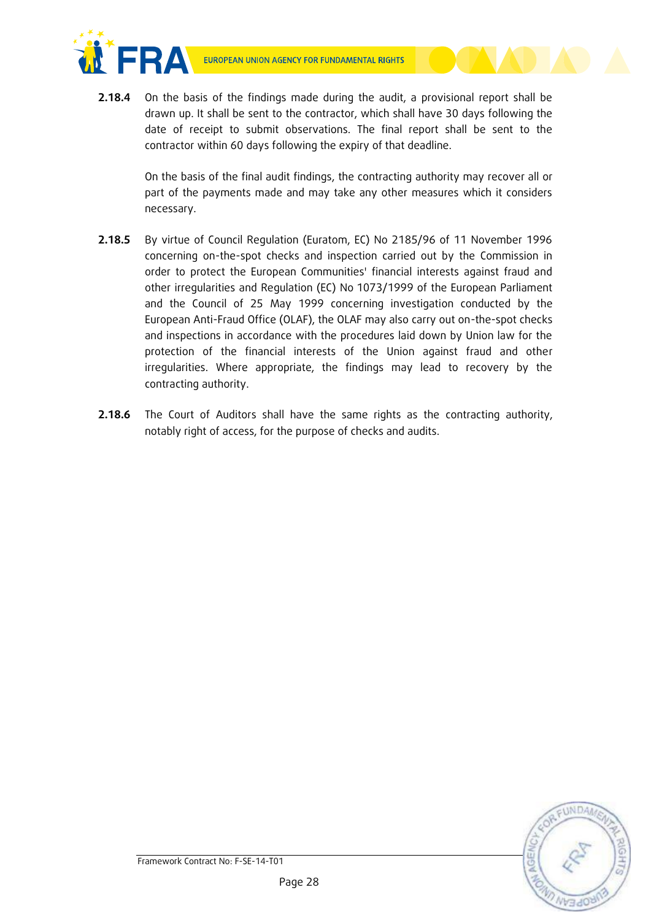



**2.18.4** On the basis of the findings made during the audit, a provisional report shall be drawn up. It shall be sent to the contractor, which shall have 30 days following the date of receipt to submit observations. The final report shall be sent to the contractor within 60 days following the expiry of that deadline.

> On the basis of the final audit findings, the contracting authority may recover all or part of the payments made and may take any other measures which it considers necessary.

- **2.18.5** By virtue of Council Regulation (Euratom, EC) No 2185/96 of 11 November 1996 concerning on-the-spot checks and inspection carried out by the Commission in order to protect the European Communities' financial interests against fraud and other irregularities and Regulation (EC) No 1073/1999 of the European Parliament and the Council of 25 May 1999 concerning investigation conducted by the European Anti-Fraud Office (OLAF), the OLAF may also carry out on-the-spot checks and inspections in accordance with the procedures laid down by Union law for the protection of the financial interests of the Union against fraud and other irregularities. Where appropriate, the findings may lead to recovery by the contracting authority.
- **2.18.6** The Court of Auditors shall have the same rights as the contracting authority, notably right of access, for the purpose of checks and audits.

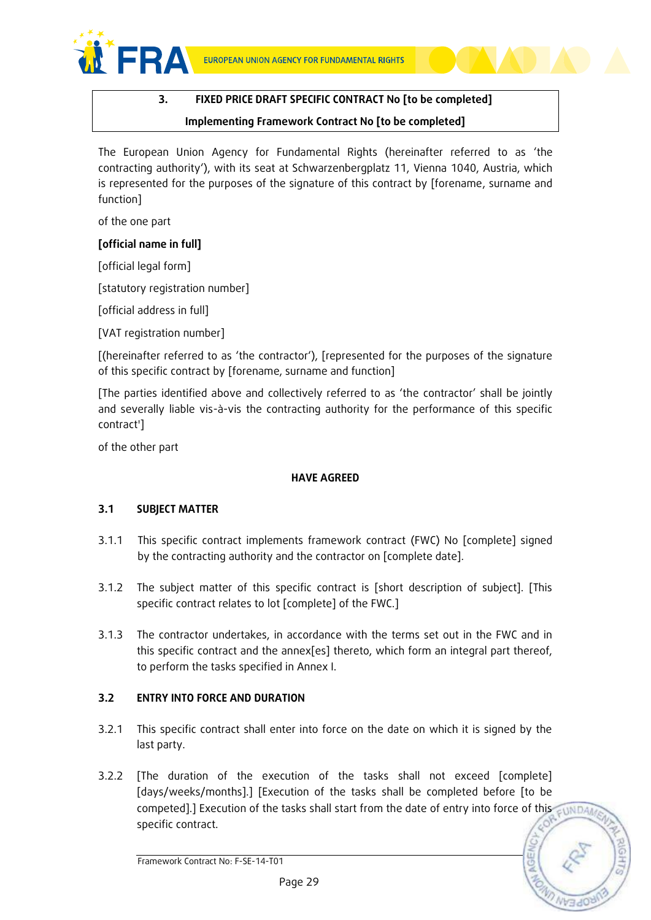

# **3. FIXED PRICE DRAFT SPECIFIC CONTRACT No [to be completed] Implementing Framework Contract No [to be completed]**

The European Union Agency for Fundamental Rights (hereinafter referred to as 'the contracting authority'), with its seat at Schwarzenbergplatz 11, Vienna 1040, Austria, which is represented for the purposes of the signature of this contract by [forename, surname and function]

of the one part

### **[official name in full]**

[official legal form]

[statutory registration number]

[official address in full]

[VAT registration number]

[(hereinafter referred to as 'the contractor'), [represented for the purposes of the signature of this specific contract by [forename, surname and function]

[The parties identified above and collectively referred to as 'the contractor' shall be jointly and severally liable vis-à-vis the contracting authority for the performance of this specific contract']

of the other part

# **HAVE AGREED**

# **3.1 SUBJECT MATTER**

- 3.1.1 This specific contract implements framework contract (FWC) No [complete] signed by the contracting authority and the contractor on [complete date].
- 3.1.2 The subject matter of this specific contract is [short description of subject]. [This specific contract relates to lot [complete] of the FWC.]
- 3.1.3 The contractor undertakes, in accordance with the terms set out in the FWC and in this specific contract and the annex[es] thereto, which form an integral part thereof, to perform the tasks specified in Annex I.

# **3.2 ENTRY INTO FORCE AND DURATION**

- 3.2.1 This specific contract shall enter into force on the date on which it is signed by the last party.
- 3.2.2 [The duration of the execution of the tasks shall not exceed [complete] [days/weeks/months].] [Execution of the tasks shall be completed before [to be competed].] Execution of the tasks shall start from the date of entry into force of this specific contract.

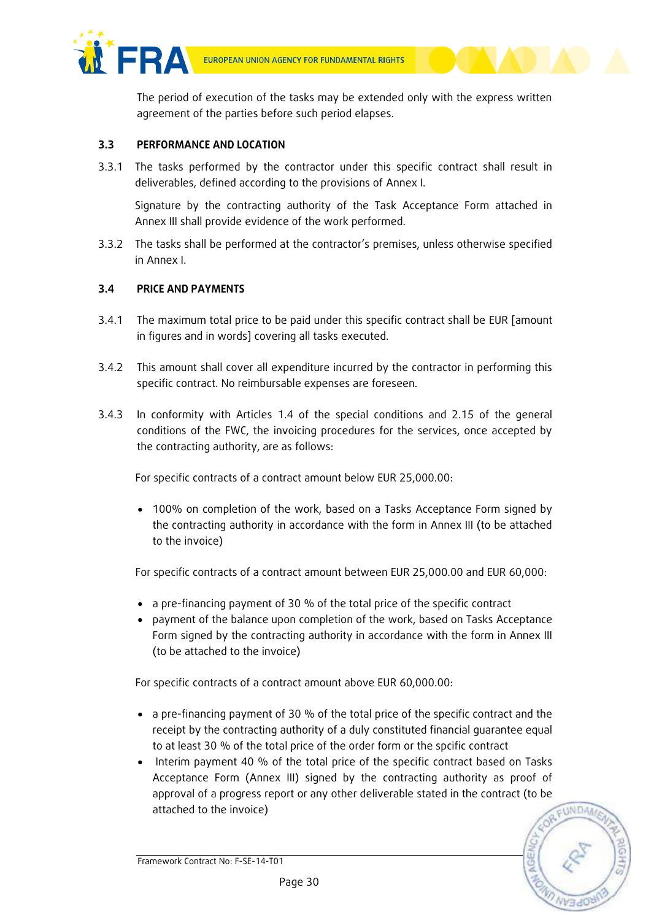

The period of execution of the tasks may be extended only with the express written agreement of the parties before such period elapses.

# **3.3 PERFORMANCE AND LOCATION**

3.3.1 The tasks performed by the contractor under this specific contract shall result in deliverables, defined according to the provisions of Annex I.

Signature by the contracting authority of the Task Acceptance Form attached in Annex III shall provide evidence of the work performed.

3.3.2 The tasks shall be performed at the contractor's premises, unless otherwise specified in Annex I.

# **3.4 PRICE AND PAYMENTS**

- 3.4.1 The maximum total price to be paid under this specific contract shall be EUR [amount in figures and in words] covering all tasks executed.
- 3.4.2 This amount shall cover all expenditure incurred by the contractor in performing this specific contract. No reimbursable expenses are foreseen.
- 3.4.3 In conformity with Articles 1.4 of the special conditions and 2.15 of the general conditions of the FWC, the invoicing procedures for the services, once accepted by the contracting authority, are as follows:

For specific contracts of a contract amount below EUR 25,000.00:

 100% on completion of the work, based on a Tasks Acceptance Form signed by the contracting authority in accordance with the form in Annex III (to be attached to the invoice)

For specific contracts of a contract amount between EUR 25,000.00 and EUR 60,000:

- a pre-financing payment of 30 % of the total price of the specific contract
- payment of the balance upon completion of the work, based on Tasks Acceptance Form signed by the contracting authority in accordance with the form in Annex III (to be attached to the invoice)

For specific contracts of a contract amount above EUR 60,000.00:

- a pre-financing payment of 30 % of the total price of the specific contract and the receipt by the contracting authority of a duly constituted financial guarantee equal to at least 30 % of the total price of the order form or the spcific contract
- Interim payment 40 % of the total price of the specific contract based on Tasks Acceptance Form (Annex III) signed by the contracting authority as proof of approval of a progress report or any other deliverable stated in the contract (to be attached to the invoice)

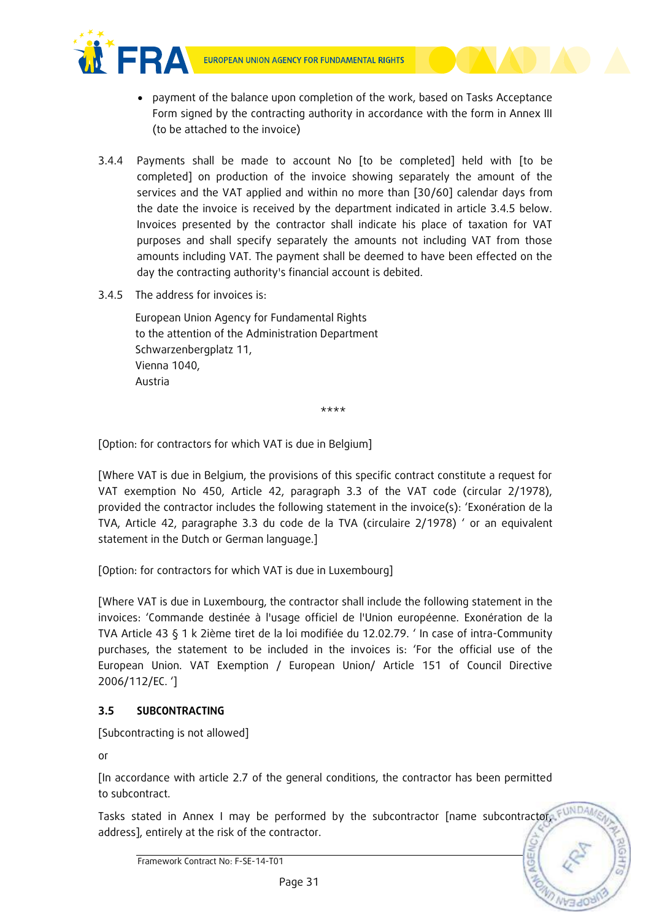

- payment of the balance upon completion of the work, based on Tasks Acceptance Form signed by the contracting authority in accordance with the form in Annex III (to be attached to the invoice)
- 3.4.4 Payments shall be made to account No [to be completed] held with [to be completed] on production of the invoice showing separately the amount of the services and the VAT applied and within no more than [30/60] calendar days from the date the invoice is received by the department indicated in article 3.4.5 below. Invoices presented by the contractor shall indicate his place of taxation for VAT purposes and shall specify separately the amounts not including VAT from those amounts including VAT. The payment shall be deemed to have been effected on the day the contracting authority's financial account is debited.
- $3.4.5$  The address for invoices is:

European Union Agency for Fundamental Rights to the attention of the Administration Department Schwarzenbergplatz 11, Vienna 1040, Austria

\*\*\*\*

[Option: for contractors for which VAT is due in Belgium]

[Where VAT is due in Belgium, the provisions of this specific contract constitute a request for VAT exemption No 450, Article 42, paragraph 3.3 of the VAT code (circular 2/1978), provided the contractor includes the following statement in the invoice(s): 'Exonération de la TVA, Article 42, paragraphe 3.3 du code de la TVA (circulaire 2/1978) ' or an equivalent statement in the Dutch or German language.]

[Option: for contractors for which VAT is due in Luxembourg]

[Where VAT is due in Luxembourg, the contractor shall include the following statement in the invoices: 'Commande destinée à l'usage officiel de l'Union européenne. Exonération de la TVA Article 43 § 1 k 2ième tiret de la loi modifiée du 12.02.79. ' In case of intra-Community purchases, the statement to be included in the invoices is: 'For the official use of the European Union. VAT Exemption / European Union/ Article 151 of Council Directive 2006/112/EC. ']

# **3.5 SUBCONTRACTING**

[Subcontracting is not allowed]

or

[In accordance with article 2.7 of the general conditions, the contractor has been permitted to subcontract.

Tasks stated in Annex I may be performed by the subcontractor [name subcontractor, F address], entirely at the risk of the contractor.

Framework Contract No: F-SE-14-T01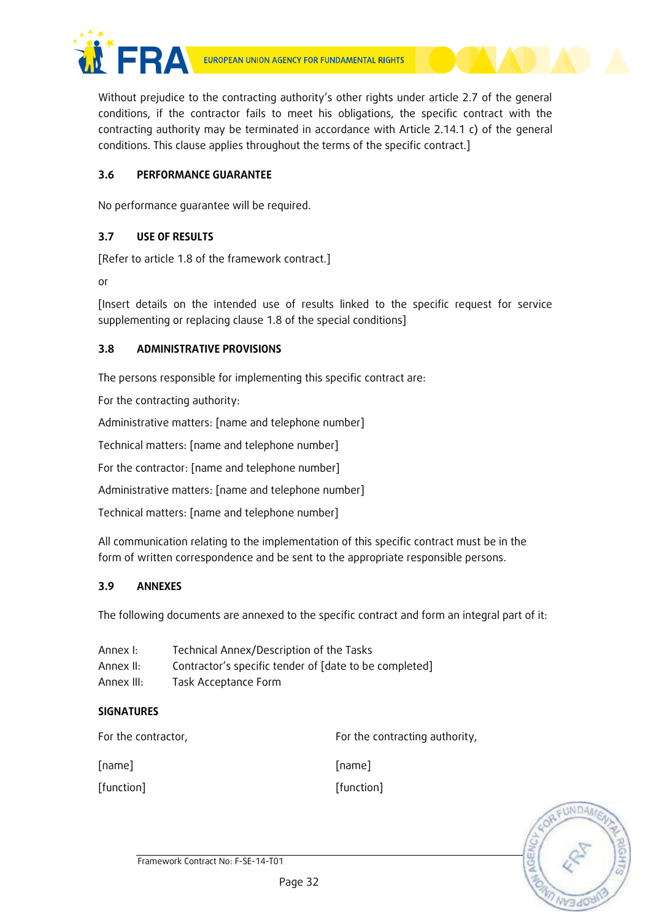

Without prejudice to the contracting authority's other rights under article 2.7 of the general conditions, if the contractor fails to meet his obligations, the specific contract with the contracting authority may be terminated in accordance with Article 2.14.1 c) of the general conditions. This clause applies throughout the terms of the specific contract.]

# **3.6 PERFORMANCE GUARANTEE**

No performance guarantee will be required.

# **3.7 USE OF RESULTS**

[Refer to article 1.8 of the framework contract.]

or

[Insert details on the intended use of results linked to the specific request for service supplementing or replacing clause 1.8 of the special conditions]

# **3.8 ADMINISTRATIVE PROVISIONS**

The persons responsible for implementing this specific contract are:

For the contracting authority:

Administrative matters: [name and telephone number]

Technical matters: [name and telephone number]

For the contractor: [name and telephone number]

Administrative matters: [name and telephone number]

Technical matters: [name and telephone number]

All communication relating to the implementation of this specific contract must be in the form of written correspondence and be sent to the appropriate responsible persons.

# **3.9 ANNEXES**

The following documents are annexed to the specific contract and form an integral part of it:

| Annex I:   | Technical Annex/Description of the Tasks               |
|------------|--------------------------------------------------------|
| Annex II:  | Contractor's specific tender of [date to be completed] |
| Annex III: | Task Acceptance Form                                   |

# **SIGNATURES**

For the contractor, The contracting authority, [name] [function] [name] [function]

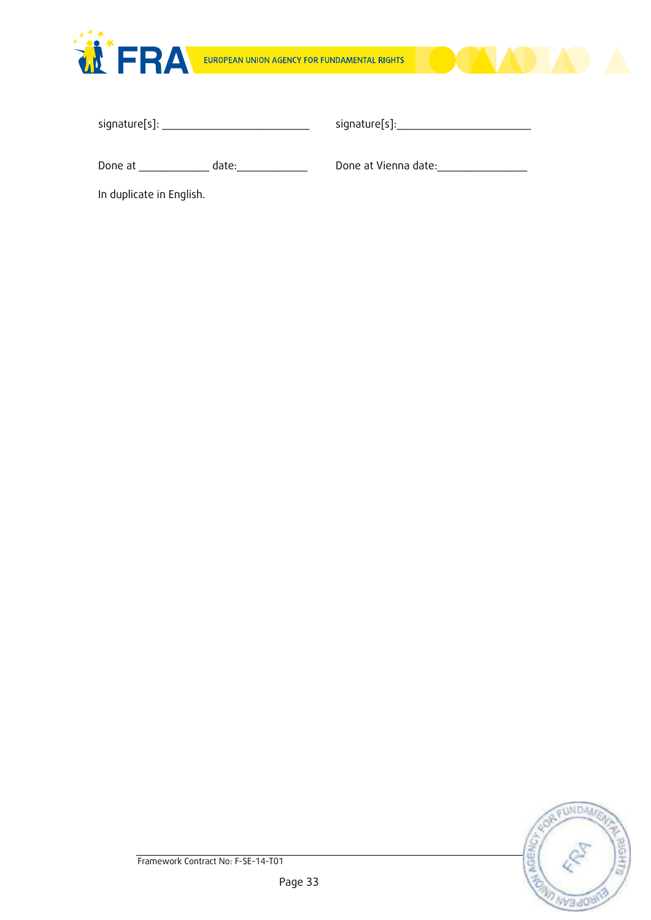



| signature[s]: |  |  |
|---------------|--|--|
|               |  |  |

signature[s]:\_\_\_\_\_\_\_\_\_\_\_\_\_\_\_\_\_\_\_\_\_

Done at \_\_\_\_\_\_\_\_\_\_\_ date:\_\_\_\_\_\_\_\_\_\_\_

Done at Vienna date:\_\_\_\_\_\_\_\_\_\_\_\_\_\_

In duplicate in English.

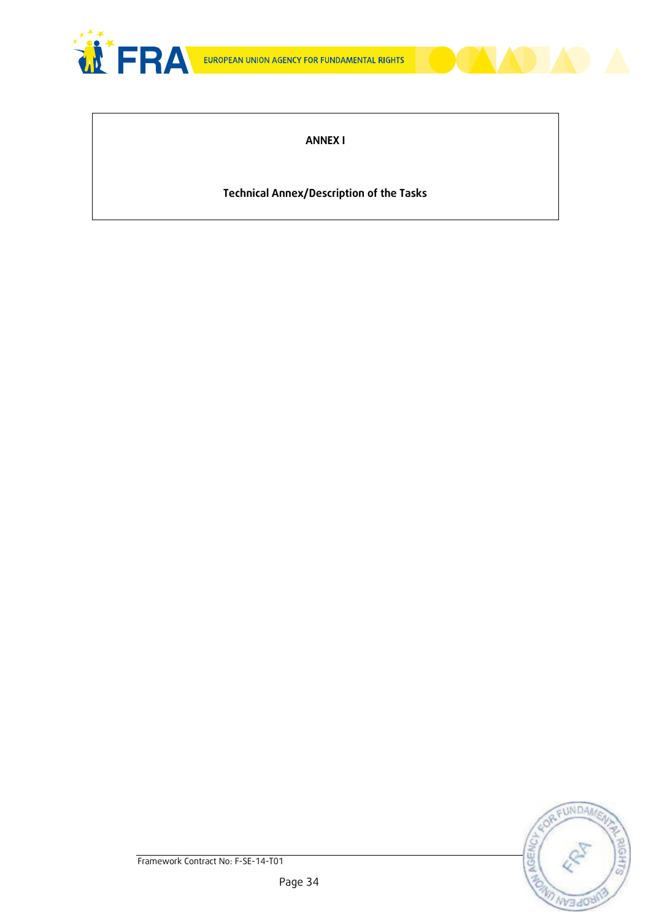



# **Technical Annex/Description of the Tasks**

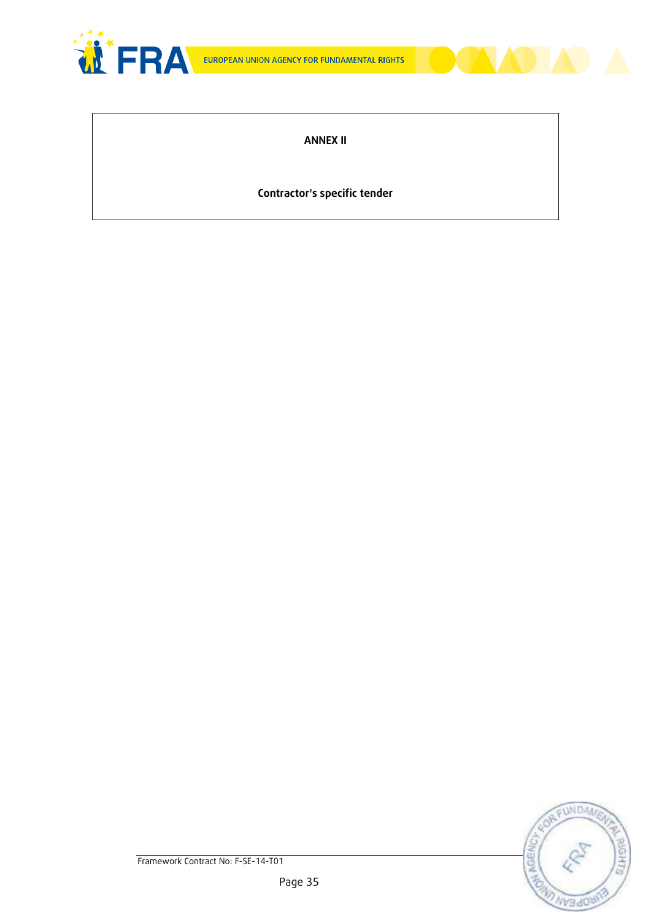



# **Contractor's specific tender**

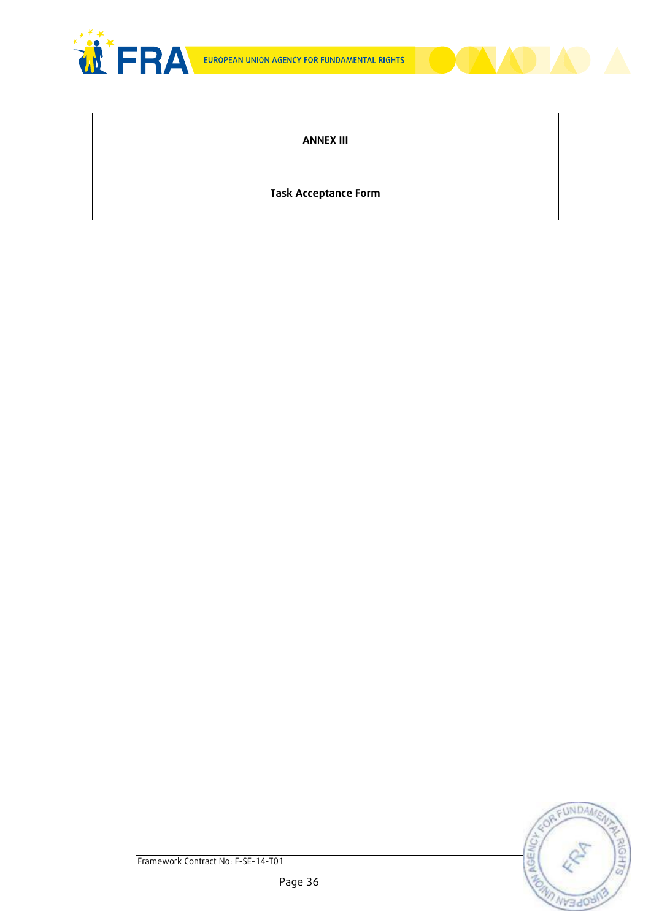



**Task Acceptance Form**

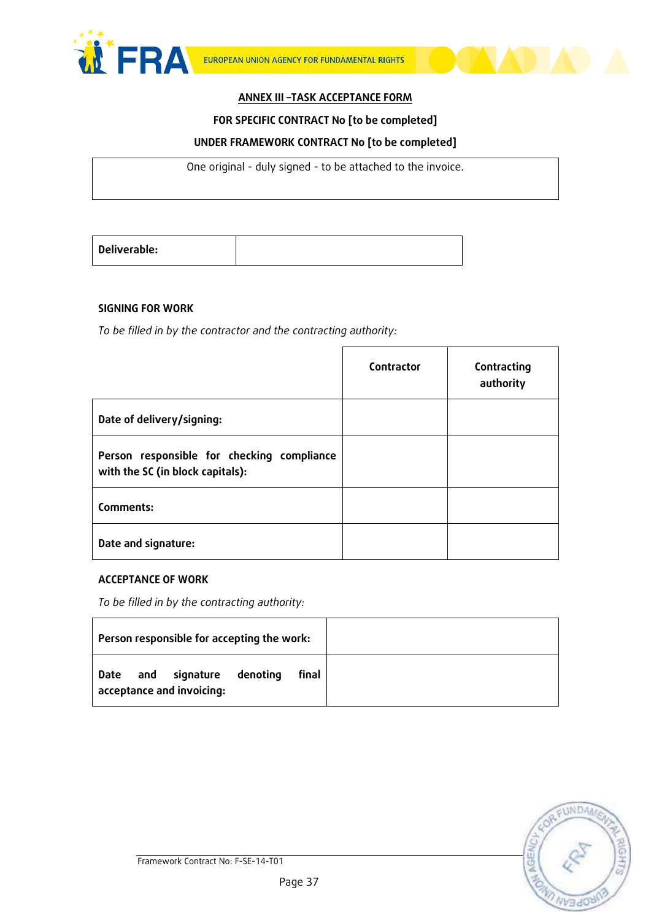



#### **FOR SPECIFIC CONTRACT No [to be completed]**

### **UNDER FRAMEWORK CONTRACT No [to be completed]**

One original - duly signed - to be attached to the invoice.

| Deliverable: |  |
|--------------|--|
|              |  |

### **SIGNING FOR WORK**

*To be filled in by the contractor and the contracting authority:*

|                                                                                | Contractor | Contracting<br>authority |
|--------------------------------------------------------------------------------|------------|--------------------------|
| Date of delivery/signing:                                                      |            |                          |
| Person responsible for checking compliance<br>with the SC (in block capitals): |            |                          |
| Comments:                                                                      |            |                          |
| Date and signature:                                                            |            |                          |

### **ACCEPTANCE OF WORK**

*To be filled in by the contracting authority:*

| Person responsible for accepting the work:                          |       |  |
|---------------------------------------------------------------------|-------|--|
| and<br>signature<br>denoting<br>  Date<br>acceptance and invoicing: | final |  |

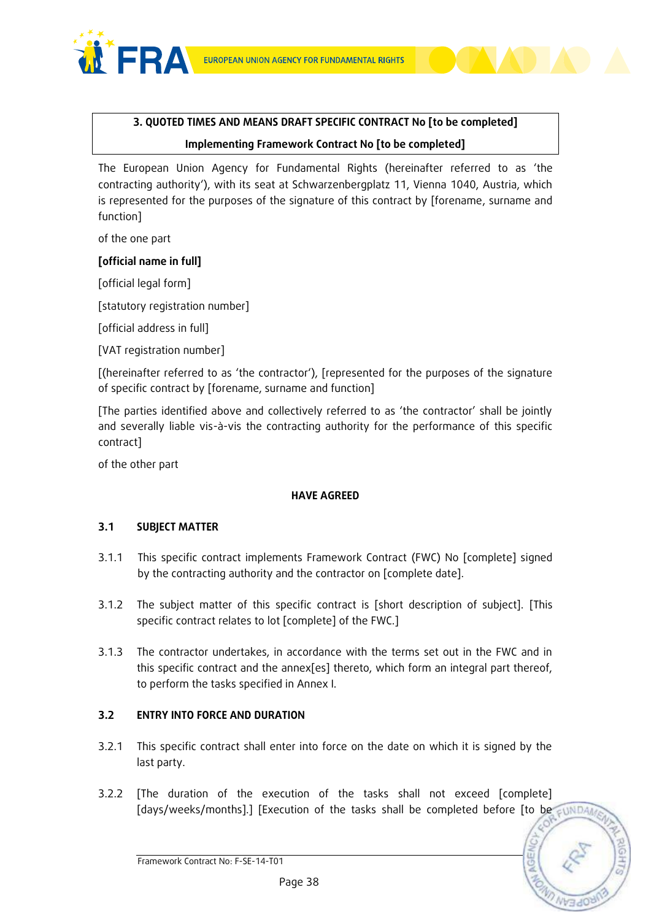



# **Implementing Framework Contract No [to be completed]**

The European Union Agency for Fundamental Rights (hereinafter referred to as 'the contracting authority'), with its seat at Schwarzenbergplatz 11, Vienna 1040, Austria, which is represented for the purposes of the signature of this contract by [forename, surname and function]

of the one part

# **[official name in full]**

[official legal form]

[statutory registration number]

[official address in full]

[VAT registration number]

[(hereinafter referred to as 'the contractor'), [represented for the purposes of the signature of specific contract by [forename, surname and function]

[The parties identified above and collectively referred to as 'the contractor' shall be jointly and severally liable vis-à-vis the contracting authority for the performance of this specific contract]

of the other part

# **HAVE AGREED**

# **3.1 SUBJECT MATTER**

- 3.1.1 This specific contract implements Framework Contract (FWC) No [complete] signed by the contracting authority and the contractor on [complete date].
- 3.1.2 The subject matter of this specific contract is [short description of subject]. [This specific contract relates to lot [complete] of the FWC.]
- 3.1.3 The contractor undertakes, in accordance with the terms set out in the FWC and in this specific contract and the annex[es] thereto, which form an integral part thereof, to perform the tasks specified in Annex I.

# **3.2 ENTRY INTO FORCE AND DURATION**

- 3.2.1 This specific contract shall enter into force on the date on which it is signed by the last party.
- 3.2.2 [The duration of the execution of the tasks shall not exceed [complete] [days/weeks/months].] [Execution of the tasks shall be completed before [to be sunDA

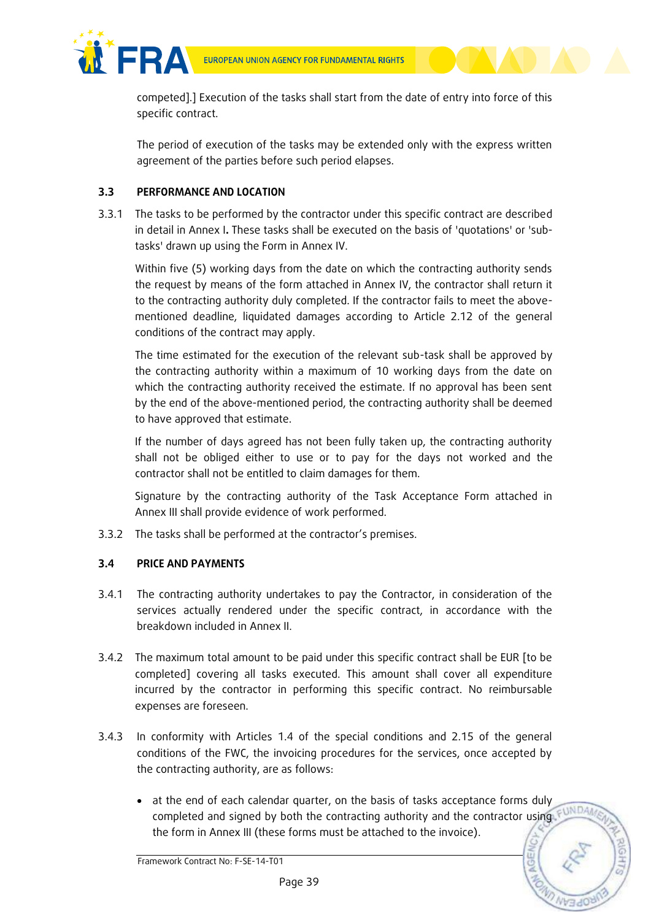

competed].] Execution of the tasks shall start from the date of entry into force of this specific contract.

The period of execution of the tasks may be extended only with the express written agreement of the parties before such period elapses.

# **3.3 PERFORMANCE AND LOCATION**

3.3.1 The tasks to be performed by the contractor under this specific contract are described in detail in Annex I**.** These tasks shall be executed on the basis of 'quotations' or 'subtasks' drawn up using the Form in Annex IV.

Within five (5) working days from the date on which the contracting authority sends the request by means of the form attached in Annex IV, the contractor shall return it to the contracting authority duly completed. If the contractor fails to meet the abovementioned deadline, liquidated damages according to Article 2.12 of the general conditions of the contract may apply.

The time estimated for the execution of the relevant sub-task shall be approved by the contracting authority within a maximum of 10 working days from the date on which the contracting authority received the estimate. If no approval has been sent by the end of the above-mentioned period, the contracting authority shall be deemed to have approved that estimate.

If the number of days agreed has not been fully taken up, the contracting authority shall not be obliged either to use or to pay for the days not worked and the contractor shall not be entitled to claim damages for them.

Signature by the contracting authority of the Task Acceptance Form attached in Annex III shall provide evidence of work performed.

3.3.2 The tasks shall be performed at the contractor's premises.

# **3.4 PRICE AND PAYMENTS**

- 3.4.1 The contracting authority undertakes to pay the Contractor, in consideration of the services actually rendered under the specific contract, in accordance with the breakdown included in Annex II.
- 3.4.2 The maximum total amount to be paid under this specific contract shall be EUR [to be completed] covering all tasks executed. This amount shall cover all expenditure incurred by the contractor in performing this specific contract. No reimbursable expenses are foreseen.
- 3.4.3 In conformity with Articles 1.4 of the special conditions and 2.15 of the general conditions of the FWC, the invoicing procedures for the services, once accepted by the contracting authority, are as follows:
	- at the end of each calendar quarter, on the basis of tasks acceptance forms duly completed and signed by both the contracting authority and the contractor using the form in Annex III (these forms must be attached to the invoice).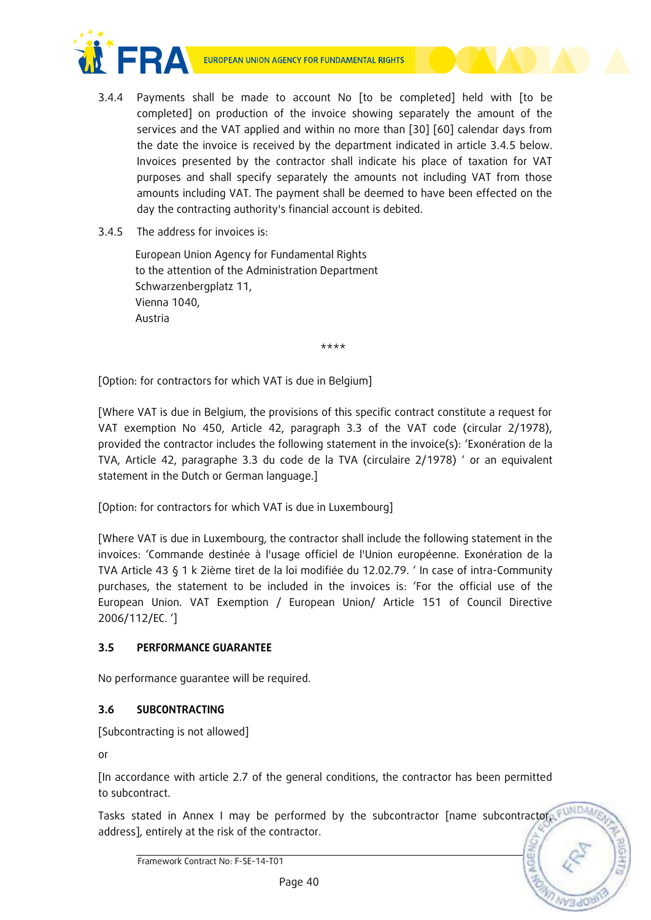



- 3.4.4 Payments shall be made to account No [to be completed] held with [to be completed] on production of the invoice showing separately the amount of the services and the VAT applied and within no more than [30] [60] calendar days from the date the invoice is received by the department indicated in article 3.4.5 below. Invoices presented by the contractor shall indicate his place of taxation for VAT purposes and shall specify separately the amounts not including VAT from those amounts including VAT. The payment shall be deemed to have been effected on the day the contracting authority's financial account is debited.
- 3.4.5 The address for invoices is:

European Union Agency for Fundamental Rights to the attention of the Administration Department Schwarzenbergplatz 11, Vienna 1040, Austria

\*\*\*\*

[Option: for contractors for which VAT is due in Belgium]

[Where VAT is due in Belgium, the provisions of this specific contract constitute a request for VAT exemption No 450, Article 42, paragraph 3.3 of the VAT code (circular 2/1978), provided the contractor includes the following statement in the invoice(s): 'Exonération de la TVA, Article 42, paragraphe 3.3 du code de la TVA (circulaire 2/1978) ' or an equivalent statement in the Dutch or German language.]

[Option: for contractors for which VAT is due in Luxembourg]

[Where VAT is due in Luxembourg, the contractor shall include the following statement in the invoices: 'Commande destinée à l'usage officiel de l'Union européenne. Exonération de la TVA Article 43 § 1 k 2ième tiret de la loi modifiée du 12.02.79. ' In case of intra-Community purchases, the statement to be included in the invoices is: 'For the official use of the European Union. VAT Exemption / European Union/ Article 151 of Council Directive 2006/112/EC. ']

# **3.5 PERFORMANCE GUARANTEE**

No performance guarantee will be required.

# **3.6 SUBCONTRACTING**

[Subcontracting is not allowed]

or

[In accordance with article 2.7 of the general conditions, the contractor has been permitted to subcontract.

Tasks stated in Annex I may be performed by the subcontractor [name subcontractor, FUND address], entirely at the risk of the contractor.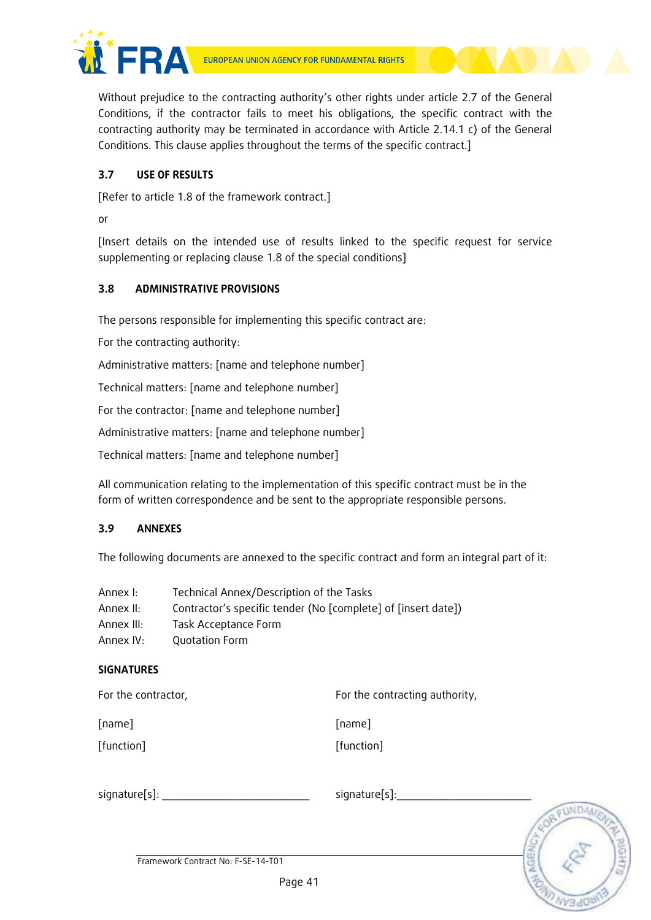



Without prejudice to the contracting authority's other rights under article 2.7 of the General Conditions, if the contractor fails to meet his obligations, the specific contract with the contracting authority may be terminated in accordance with Article 2.14.1 c) of the General Conditions. This clause applies throughout the terms of the specific contract.]

# **3.7 USE OF RESULTS**

[Refer to article 1.8 of the framework contract.]

or

[Insert details on the intended use of results linked to the specific request for service supplementing or replacing clause 1.8 of the special conditions]

# **3.8 ADMINISTRATIVE PROVISIONS**

The persons responsible for implementing this specific contract are:

For the contracting authority:

Administrative matters: [name and telephone number]

Technical matters: [name and telephone number]

For the contractor: [name and telephone number]

Administrative matters: [name and telephone number]

Technical matters: [name and telephone number]

All communication relating to the implementation of this specific contract must be in the form of written correspondence and be sent to the appropriate responsible persons.

# **3.9 ANNEXES**

The following documents are annexed to the specific contract and form an integral part of it:

| Annex I:   | Technical Annex/Description of the Tasks                      |
|------------|---------------------------------------------------------------|
| Annex II:  | Contractor's specific tender (No [complete] of [insert date]) |
| Annex III: | Task Acceptance Form                                          |
| Annex IV:  | Quotation Form                                                |

# **SIGNATURES**

| For the contractor, | For the contracting authority, |
|---------------------|--------------------------------|
| [name]              | [name]                         |
| [function]          | [function]                     |

signature[s]: \_\_\_\_\_\_\_\_\_\_\_\_\_\_\_\_\_\_\_\_\_\_\_ signature[s]:\_\_\_\_\_\_\_\_\_\_\_\_\_\_\_\_\_\_\_\_\_

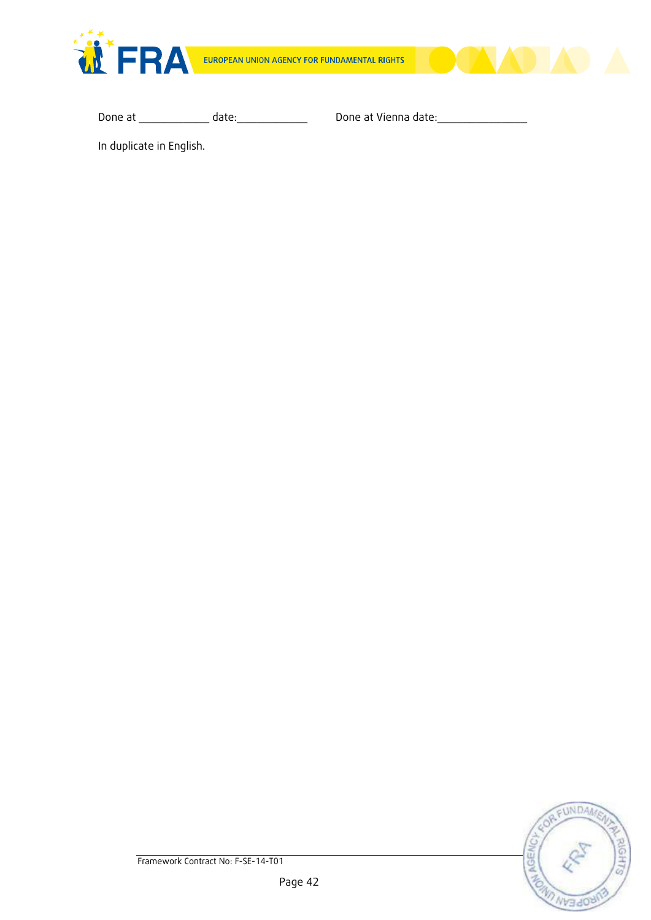



Done at \_\_\_\_\_\_\_\_\_\_\_\_ date: \_\_\_\_\_\_\_\_\_\_\_\_\_\_\_\_\_ Done at Vienna date: \_\_\_\_\_\_\_\_\_\_\_\_\_\_

In duplicate in English.

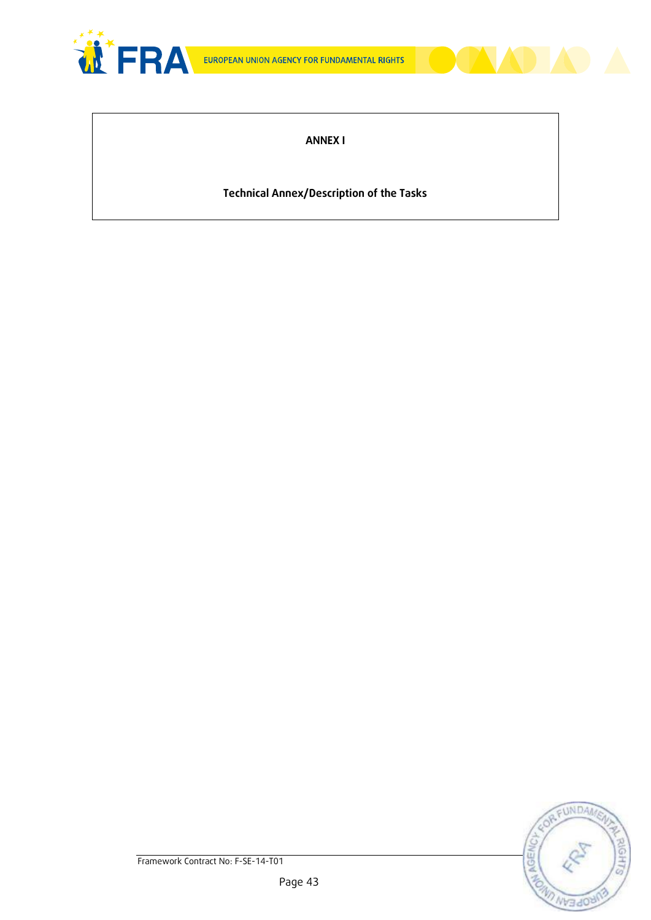



# **Technical Annex/Description of the Tasks**

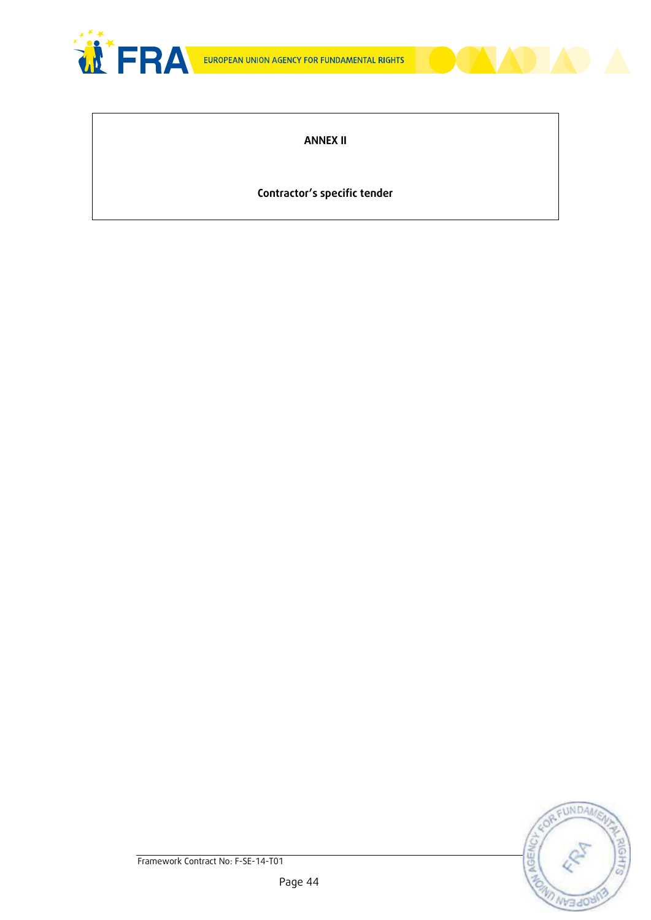



# **Contractor's specific tender**

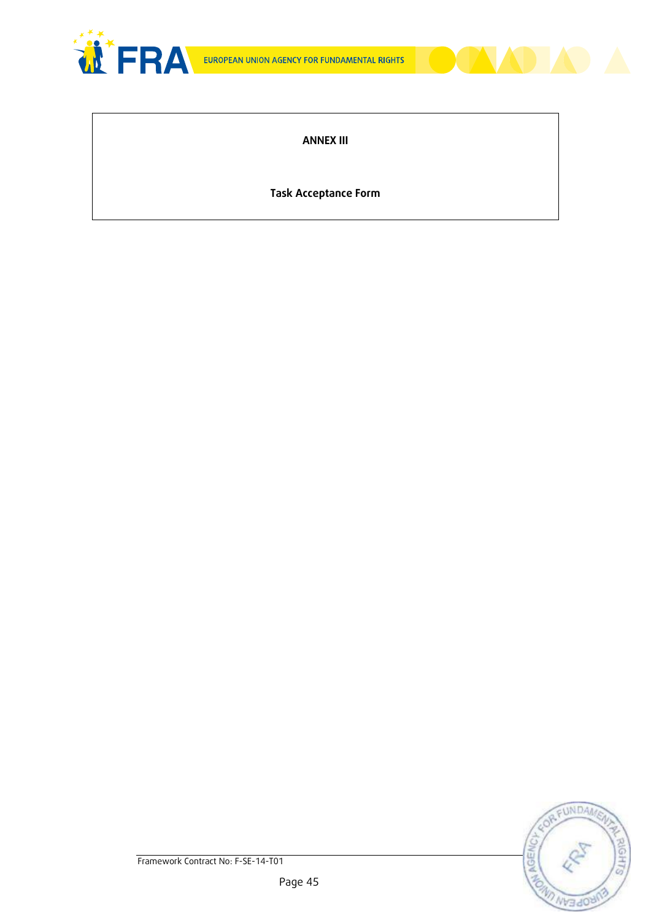



**Task Acceptance Form**

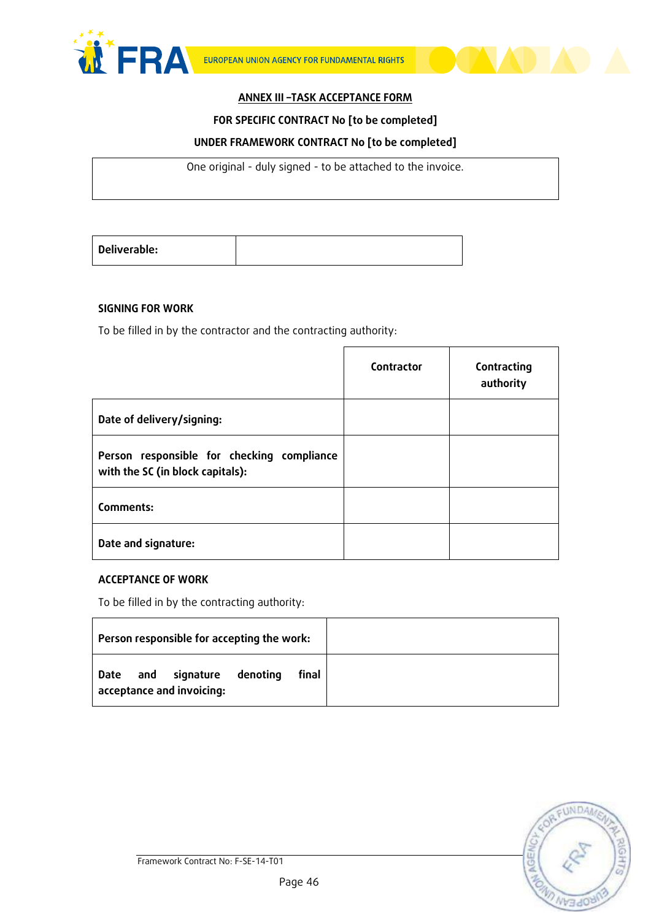



#### **FOR SPECIFIC CONTRACT No [to be completed]**

### **UNDER FRAMEWORK CONTRACT No [to be completed]**

One original - duly signed - to be attached to the invoice.

| Deliverable: |  |
|--------------|--|
|              |  |

#### **SIGNING FOR WORK**

To be filled in by the contractor and the contracting authority:

|                                                                                | Contractor | Contracting<br>authority |
|--------------------------------------------------------------------------------|------------|--------------------------|
| Date of delivery/signing:                                                      |            |                          |
| Person responsible for checking compliance<br>with the SC (in block capitals): |            |                          |
| Comments:                                                                      |            |                          |
| Date and signature:                                                            |            |                          |

### **ACCEPTANCE OF WORK**

To be filled in by the contracting authority:

| Person responsible for accepting the work:                          |       |  |
|---------------------------------------------------------------------|-------|--|
| and<br>signature<br>denoting<br>  Date<br>acceptance and invoicing: | final |  |

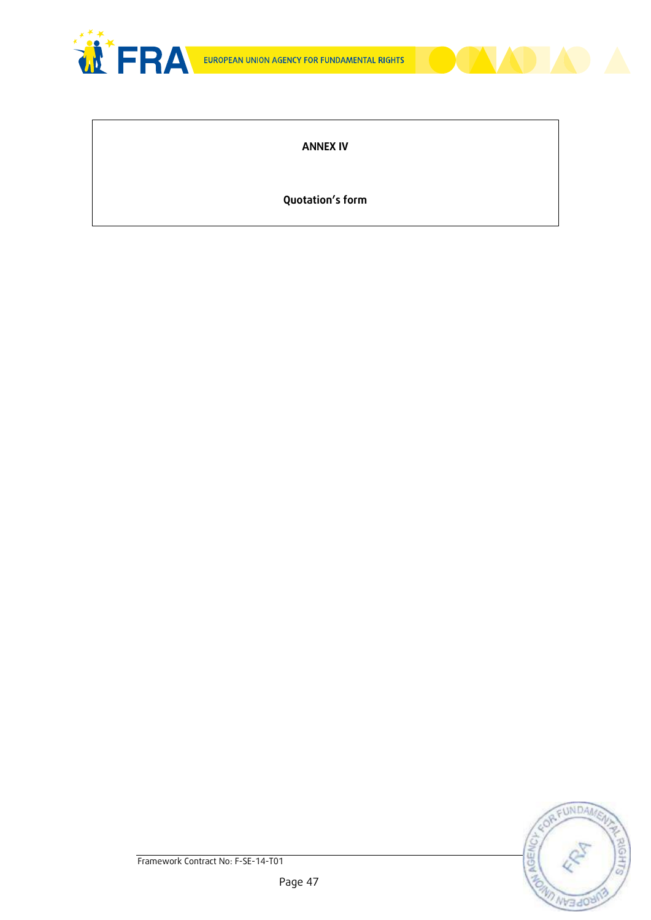



# **ANNEX IV**

**Quotation's form**

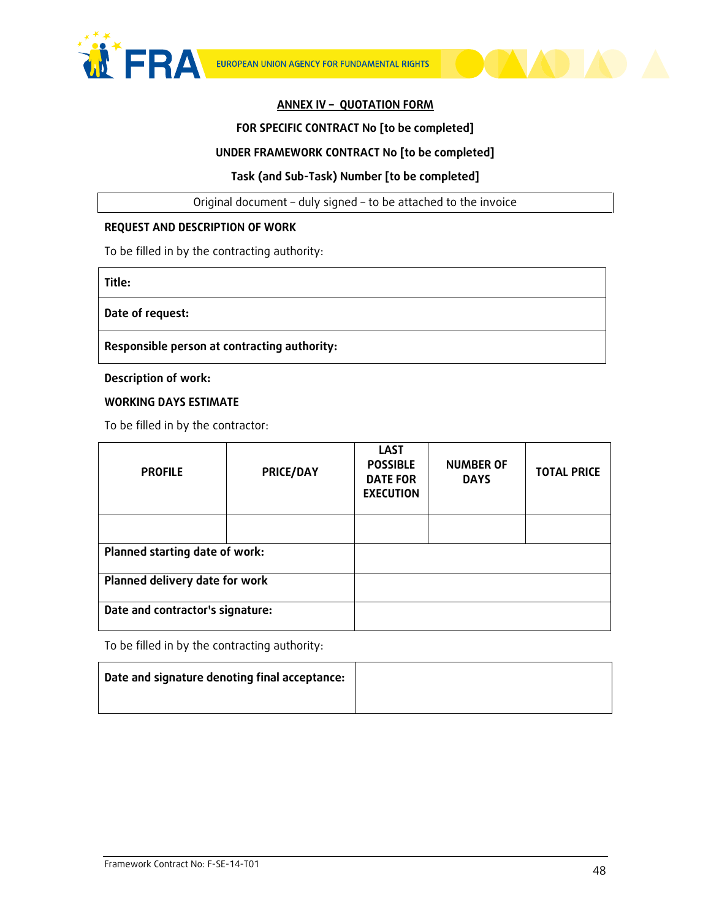



# **ANNEX IV – QUOTATION FORM**

### **FOR SPECIFIC CONTRACT No [to be completed]**

#### **UNDER FRAMEWORK CONTRACT No [to be completed]**

### **Task (and Sub-Task) Number [to be completed]**

Original document – duly signed – to be attached to the invoice

#### **REQUEST AND DESCRIPTION OF WORK**

To be filled in by the contracting authority:

**Title:** 

**Date of request:** 

**Responsible person at contracting authority:** 

**Description of work:**

**WORKING DAYS ESTIMATE**

To be filled in by the contractor:

| <b>PROFILE</b>                   | PRICE/DAY | <b>LAST</b><br><b>POSSIBLE</b><br><b>DATE FOR</b><br><b>EXECUTION</b> | <b>NUMBER OF</b><br><b>DAYS</b> | <b>TOTAL PRICE</b> |  |
|----------------------------------|-----------|-----------------------------------------------------------------------|---------------------------------|--------------------|--|
|                                  |           |                                                                       |                                 |                    |  |
| Planned starting date of work:   |           |                                                                       |                                 |                    |  |
| Planned delivery date for work   |           |                                                                       |                                 |                    |  |
| Date and contractor's signature: |           |                                                                       |                                 |                    |  |

To be filled in by the contracting authority:

| Date and signature denoting final acceptance: |  |
|-----------------------------------------------|--|
|                                               |  |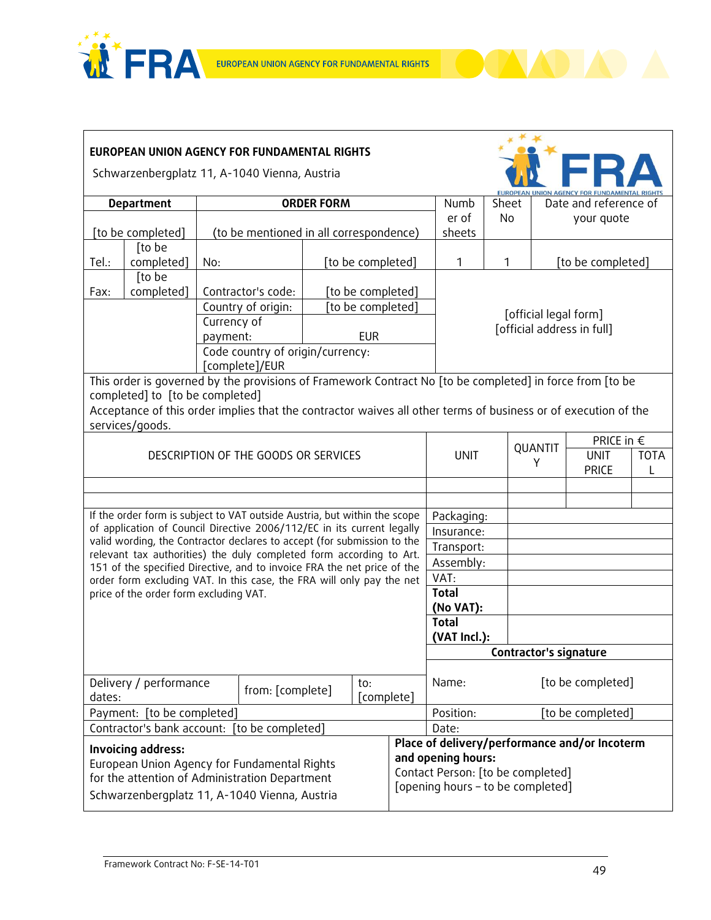



| EUROPEAN UNION AGENCY FOR FUNDAMENTAL RIGHTS                                                                                                                                                                            |                                        |                                         |                                                                                                                |                                               |                    |                        |                              |                                                     |                   |                   |             |  |  |
|-------------------------------------------------------------------------------------------------------------------------------------------------------------------------------------------------------------------------|----------------------------------------|-----------------------------------------|----------------------------------------------------------------------------------------------------------------|-----------------------------------------------|--------------------|------------------------|------------------------------|-----------------------------------------------------|-------------------|-------------------|-------------|--|--|
| Schwarzenbergplatz 11, A-1040 Vienna, Austria                                                                                                                                                                           |                                        |                                         |                                                                                                                |                                               |                    |                        |                              |                                                     |                   |                   |             |  |  |
|                                                                                                                                                                                                                         | <b>ORDER FORM</b><br><b>Department</b> |                                         |                                                                                                                | Numb                                          | Sheet              | Date and reference of  |                              |                                                     |                   |                   |             |  |  |
|                                                                                                                                                                                                                         |                                        |                                         |                                                                                                                |                                               |                    | er of                  | <b>No</b>                    | your quote                                          |                   |                   |             |  |  |
|                                                                                                                                                                                                                         | [to be completed]                      | (to be mentioned in all correspondence) |                                                                                                                |                                               |                    | sheets                 |                              |                                                     |                   |                   |             |  |  |
|                                                                                                                                                                                                                         | [to be                                 |                                         |                                                                                                                |                                               |                    |                        |                              |                                                     |                   |                   |             |  |  |
| Tel.:                                                                                                                                                                                                                   | completed]<br>[to be                   | No:                                     |                                                                                                                |                                               | [to be completed]  |                        | 1                            | 1                                                   |                   | [to be completed] |             |  |  |
| Fax:                                                                                                                                                                                                                    | completed]                             |                                         | Contractor's code:                                                                                             |                                               | [to be completed]  |                        |                              |                                                     |                   |                   |             |  |  |
|                                                                                                                                                                                                                         |                                        |                                         | Country of origin:                                                                                             |                                               | [to be completed]  |                        |                              |                                                     |                   |                   |             |  |  |
|                                                                                                                                                                                                                         |                                        | Currency of                             |                                                                                                                |                                               |                    |                        |                              | [official legal form]<br>[official address in full] |                   |                   |             |  |  |
|                                                                                                                                                                                                                         |                                        | payment:                                |                                                                                                                |                                               | <b>EUR</b>         |                        |                              |                                                     |                   |                   |             |  |  |
|                                                                                                                                                                                                                         |                                        |                                         | Code country of origin/currency:                                                                               |                                               |                    |                        |                              |                                                     |                   |                   |             |  |  |
|                                                                                                                                                                                                                         |                                        |                                         | [complete]/EUR                                                                                                 |                                               |                    |                        |                              |                                                     |                   |                   |             |  |  |
| This order is governed by the provisions of Framework Contract No [to be completed] in force from [to be                                                                                                                |                                        |                                         |                                                                                                                |                                               |                    |                        |                              |                                                     |                   |                   |             |  |  |
|                                                                                                                                                                                                                         | completed] to [to be completed]        |                                         |                                                                                                                |                                               |                    |                        |                              |                                                     |                   |                   |             |  |  |
|                                                                                                                                                                                                                         |                                        |                                         | Acceptance of this order implies that the contractor waives all other terms of business or of execution of the |                                               |                    |                        |                              |                                                     |                   |                   |             |  |  |
| services/goods.                                                                                                                                                                                                         |                                        |                                         |                                                                                                                |                                               |                    |                        | PRICE in $\epsilon$          |                                                     |                   |                   |             |  |  |
|                                                                                                                                                                                                                         |                                        |                                         | DESCRIPTION OF THE GOODS OR SERVICES                                                                           |                                               |                    |                        | <b>UNIT</b>                  |                                                     | QUANTIT           | <b>UNIT</b>       | <b>TOTA</b> |  |  |
|                                                                                                                                                                                                                         |                                        |                                         |                                                                                                                |                                               |                    |                        |                              |                                                     | Y                 | <b>PRICE</b>      | L           |  |  |
|                                                                                                                                                                                                                         |                                        |                                         |                                                                                                                |                                               |                    |                        |                              |                                                     |                   |                   |             |  |  |
|                                                                                                                                                                                                                         |                                        |                                         |                                                                                                                |                                               |                    |                        |                              |                                                     |                   |                   |             |  |  |
|                                                                                                                                                                                                                         |                                        |                                         | If the order form is subject to VAT outside Austria, but within the scope                                      |                                               |                    |                        | Packaging:                   |                                                     |                   |                   |             |  |  |
|                                                                                                                                                                                                                         |                                        |                                         | of application of Council Directive 2006/112/EC in its current legally                                         |                                               |                    |                        | Insurance:                   |                                                     |                   |                   |             |  |  |
|                                                                                                                                                                                                                         |                                        |                                         | valid wording, the Contractor declares to accept (for submission to the                                        |                                               |                    |                        | Transport:                   |                                                     |                   |                   |             |  |  |
| relevant tax authorities) the duly completed form according to Art.<br>151 of the specified Directive, and to invoice FRA the net price of the<br>order form excluding VAT. In this case, the FRA will only pay the net |                                        |                                         |                                                                                                                |                                               |                    | Assembly:              |                              |                                                     |                   |                   |             |  |  |
|                                                                                                                                                                                                                         |                                        |                                         |                                                                                                                |                                               |                    | VAT:                   |                              |                                                     |                   |                   |             |  |  |
| price of the order form excluding VAT.                                                                                                                                                                                  |                                        |                                         |                                                                                                                |                                               |                    | <b>Total</b>           |                              |                                                     |                   |                   |             |  |  |
|                                                                                                                                                                                                                         |                                        |                                         |                                                                                                                |                                               |                    |                        | (No VAT):                    |                                                     |                   |                   |             |  |  |
|                                                                                                                                                                                                                         |                                        |                                         |                                                                                                                |                                               |                    |                        | <b>Total</b><br>(VAT Incl.): |                                                     |                   |                   |             |  |  |
|                                                                                                                                                                                                                         |                                        |                                         |                                                                                                                |                                               |                    | Contractor's signature |                              |                                                     |                   |                   |             |  |  |
|                                                                                                                                                                                                                         |                                        |                                         |                                                                                                                |                                               |                    |                        |                              |                                                     |                   |                   |             |  |  |
|                                                                                                                                                                                                                         | Delivery / performance                 |                                         |                                                                                                                | to:                                           |                    |                        | Name:                        |                                                     | [to be completed] |                   |             |  |  |
| dates:                                                                                                                                                                                                                  |                                        | from: [complete]<br>[complete]          |                                                                                                                |                                               |                    |                        |                              |                                                     |                   |                   |             |  |  |
| Payment: [to be completed]                                                                                                                                                                                              |                                        |                                         |                                                                                                                | Position:<br>[to be completed]                |                    |                        |                              |                                                     |                   |                   |             |  |  |
| Contractor's bank account: [to be completed]                                                                                                                                                                            |                                        |                                         |                                                                                                                |                                               | Date:              |                        |                              |                                                     |                   |                   |             |  |  |
| Invoicing address:                                                                                                                                                                                                      |                                        |                                         |                                                                                                                | Place of delivery/performance and/or Incoterm |                    |                        |                              |                                                     |                   |                   |             |  |  |
| European Union Agency for Fundamental Rights                                                                                                                                                                            |                                        |                                         |                                                                                                                |                                               | and opening hours: |                        |                              |                                                     |                   |                   |             |  |  |
| Contact Person: [to be completed]<br>for the attention of Administration Department<br>[opening hours - to be completed]                                                                                                |                                        |                                         |                                                                                                                |                                               |                    |                        |                              |                                                     |                   |                   |             |  |  |
| Schwarzenbergplatz 11, A-1040 Vienna, Austria                                                                                                                                                                           |                                        |                                         |                                                                                                                |                                               |                    |                        |                              |                                                     |                   |                   |             |  |  |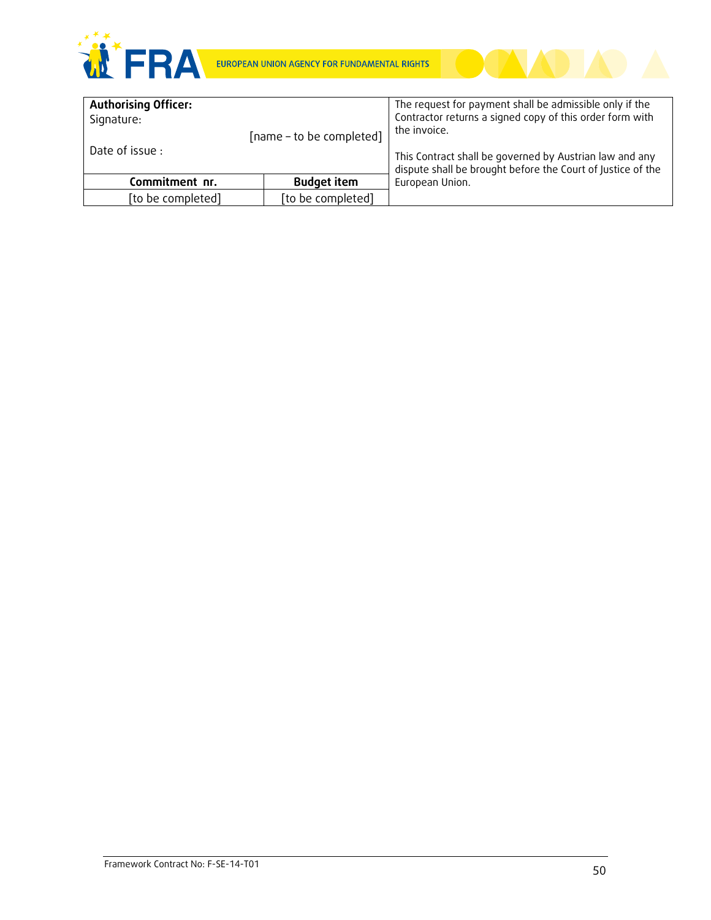

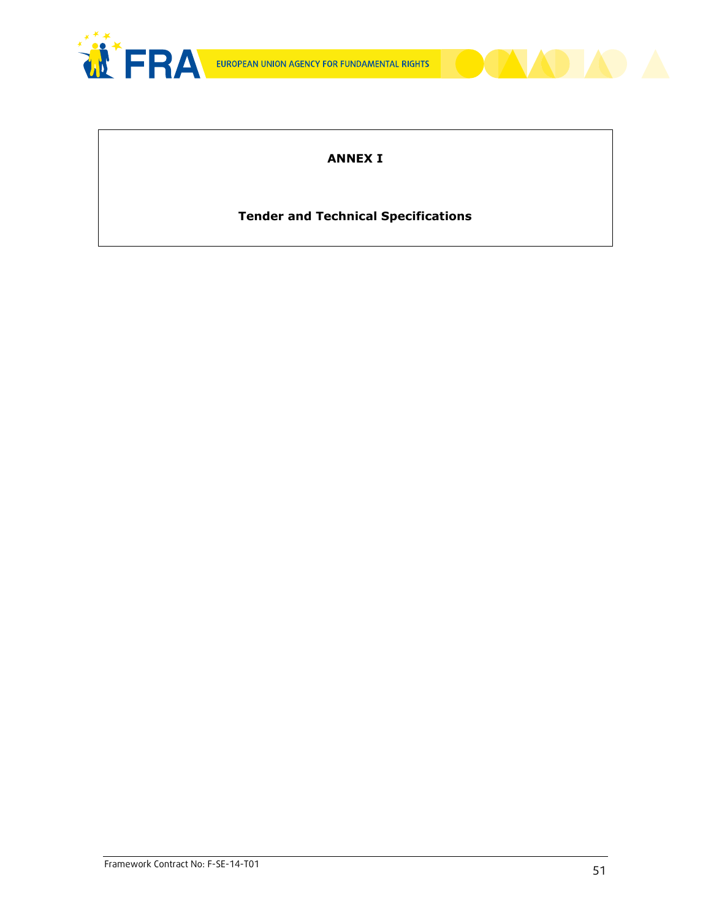



# **ANNEX I**

# **Tender and Technical Specifications**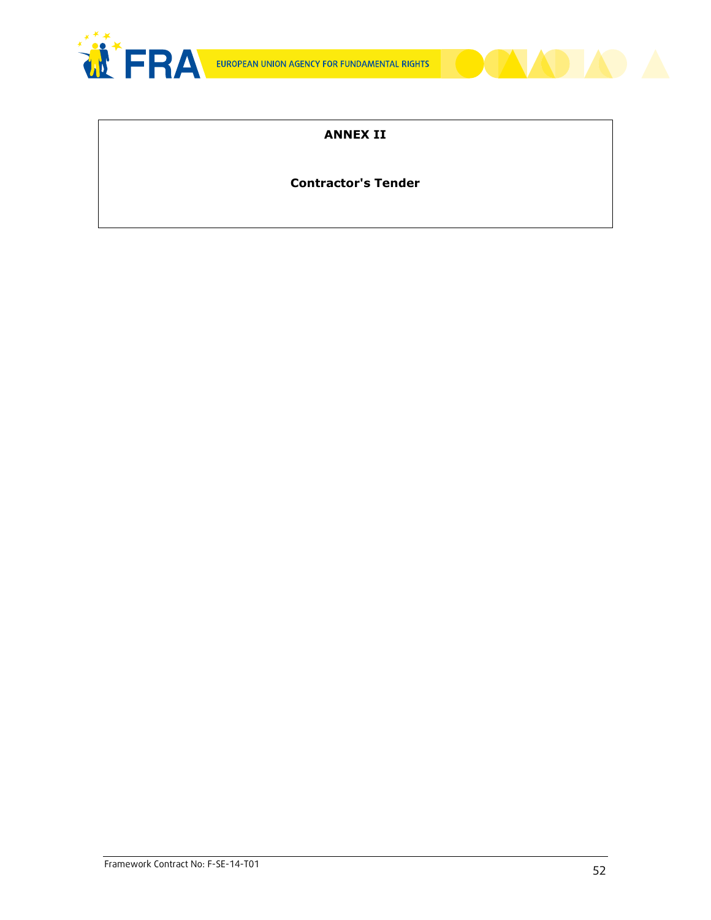



# **ANNEX II**

# **Contractor's Tender**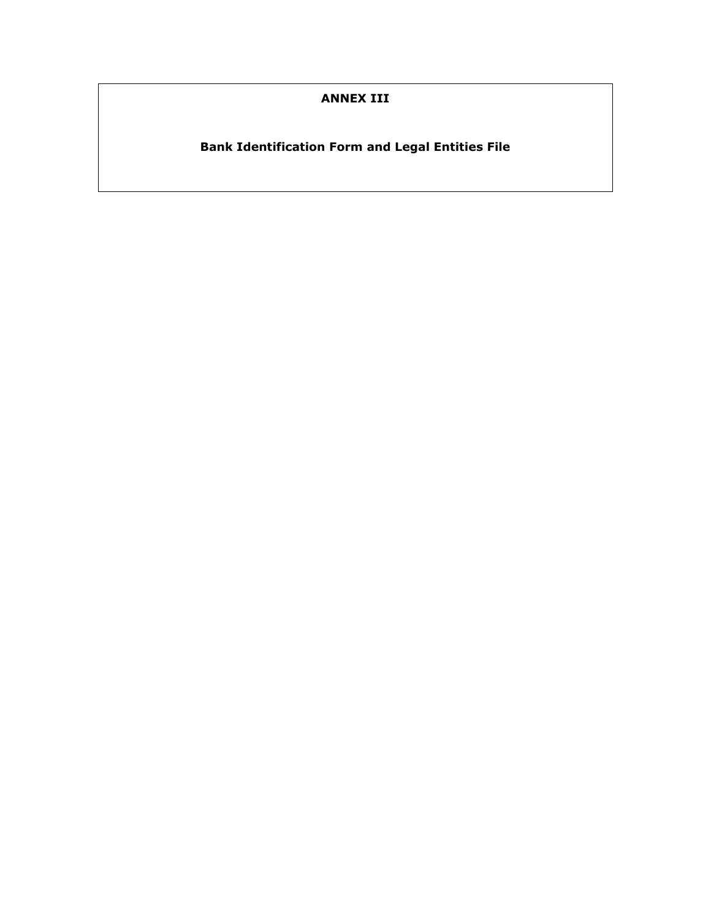# **ANNEX III**

# **Bank Identification Form and Legal Entities File**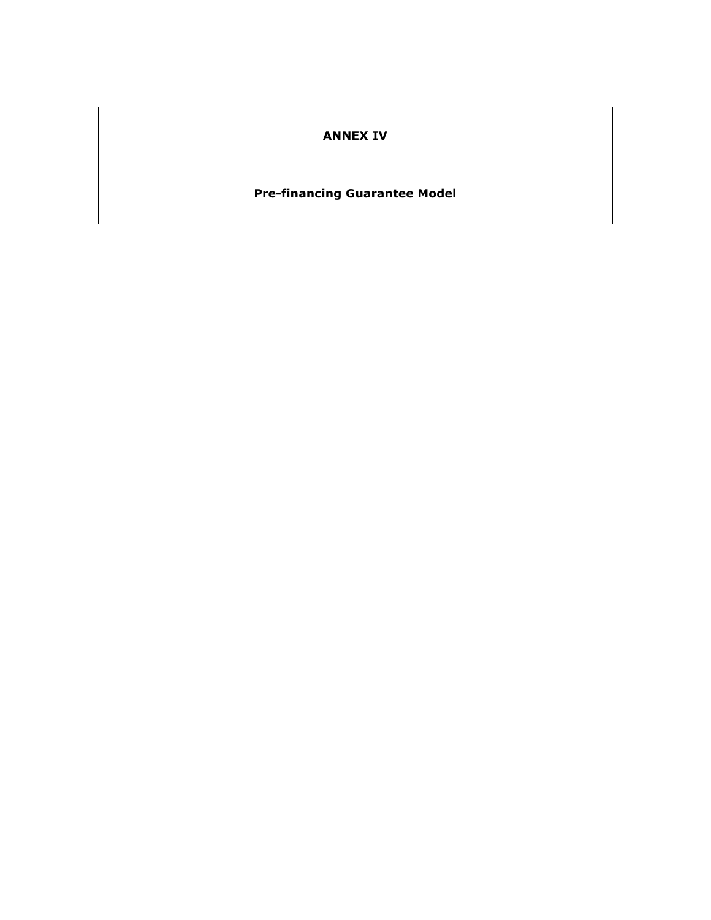### **ANNEX IV**

# **Pre-financing Guarantee Model**